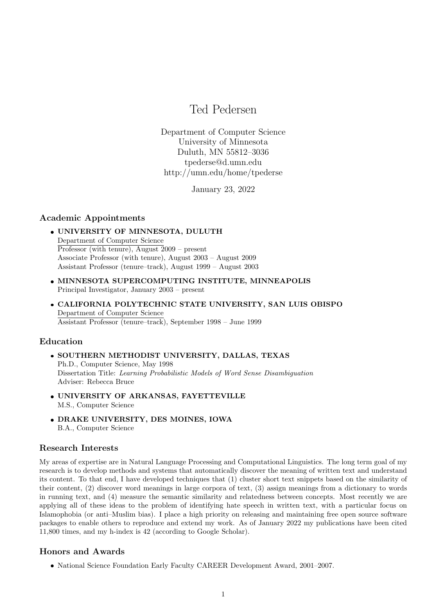# Ted Pedersen

Department of Computer Science University of Minnesota Duluth, MN 55812–3036 tpederse@d.umn.edu http://umn.edu/home/tpederse

January 23, 2022

# Academic Appointments

- UNIVERSITY OF MINNESOTA, DULUTH Department of Computer Science Professor (with tenure), August 2009 – present Associate Professor (with tenure), August 2003 – August 2009 Assistant Professor (tenure–track), August 1999 – August 2003
- MINNESOTA SUPERCOMPUTING INSTITUTE, MINNEAPOLIS Principal Investigator, January 2003 – present
- CALIFORNIA POLYTECHNIC STATE UNIVERSITY, SAN LUIS OBISPO Department of Computer Science Assistant Professor (tenure–track), September 1998 – June 1999

## Education

- SOUTHERN METHODIST UNIVERSITY, DALLAS, TEXAS Ph.D., Computer Science, May 1998 Dissertation Title: Learning Probabilistic Models of Word Sense Disambiguation Adviser: Rebecca Bruce
- UNIVERSITY OF ARKANSAS, FAYETTEVILLE M.S., Computer Science
- DRAKE UNIVERSITY, DES MOINES, IOWA B.A., Computer Science

## Research Interests

My areas of expertise are in Natural Language Processing and Computational Linguistics. The long term goal of my research is to develop methods and systems that automatically discover the meaning of written text and understand its content. To that end, I have developed techniques that (1) cluster short text snippets based on the similarity of their content, (2) discover word meanings in large corpora of text, (3) assign meanings from a dictionary to words in running text, and (4) measure the semantic similarity and relatedness between concepts. Most recently we are applying all of these ideas to the problem of identifying hate speech in written text, with a particular focus on Islamophobia (or anti–Muslim bias). I place a high priority on releasing and maintaining free open source software packages to enable others to reproduce and extend my work. As of January 2022 my publications have been cited 11,800 times, and my h-index is 42 (according to Google Scholar).

# Honors and Awards

National Science Foundation Early Faculty CAREER Development Award, 2001–2007.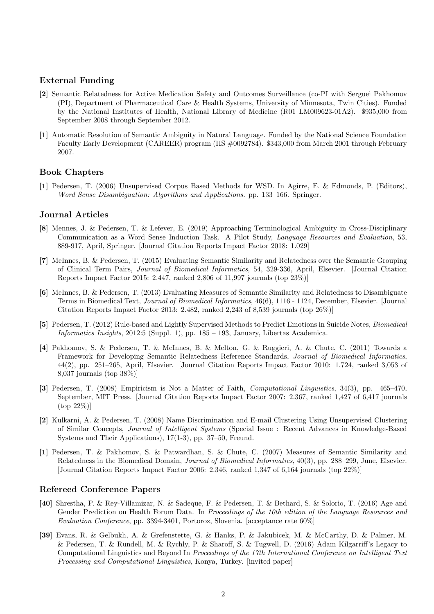# External Funding

- [2] Semantic Relatedness for Active Medication Safety and Outcomes Surveillance (co-PI with Serguei Pakhomov (PI), Department of Pharmaceutical Care & Health Systems, University of Minnesota, Twin Cities). Funded by the National Institutes of Health, National Library of Medicine (R01 LM009623-01A2). \$935,000 from September 2008 through September 2012.
- [1] Automatic Resolution of Semantic Ambiguity in Natural Language. Funded by the National Science Foundation Faculty Early Development (CAREER) program (IIS #0092784). \$343,000 from March 2001 through February 2007.

# Book Chapters

[1] Pedersen, T. (2006) Unsupervised Corpus Based Methods for WSD. In Agirre, E. & Edmonds, P. (Editors), Word Sense Disambiguation: Algorithms and Applications. pp. 133–166. Springer.

#### Journal Articles

- [8] Mennes, J. & Pedersen, T. & Lefever, E. (2019) Approaching Terminological Ambiguity in Cross-Disciplinary Communication as a Word Sense Induction Task. A Pilot Study, Language Resources and Evaluation, 53, 889-917, April, Springer. [Journal Citation Reports Impact Factor 2018: 1.029]
- [7] McInnes, B. & Pedersen, T. (2015) Evaluating Semantic Similarity and Relatedness over the Semantic Grouping of Clinical Term Pairs, Journal of Biomedical Informatics, 54, 329-336, April, Elsevier. [Journal Citation Reports Impact Factor 2015: 2.447, ranked 2,806 of 11,997 journals (top 23%)]
- [6] McInnes, B. & Pedersen, T. (2013) Evaluating Measures of Semantic Similarity and Relatedness to Disambiguate Terms in Biomedical Text, Journal of Biomedical Informatics, 46(6), 1116 - 1124, December, Elsevier. [Journal Citation Reports Impact Factor 2013: 2.482, ranked 2,243 of 8,539 journals (top 26%)]
- [5] Pedersen, T. (2012) Rule-based and Lightly Supervised Methods to Predict Emotions in Suicide Notes, Biomedical Informatics Insights, 2012:5 (Suppl. 1), pp. 185 – 193, January, Libertas Academica.
- [4] Pakhomov, S. & Pedersen, T. & McInnes, B. & Melton, G. & Ruggieri, A. & Chute, C. (2011) Towards a Framework for Developing Semantic Relatedness Reference Standards, Journal of Biomedical Informatics, 44(2), pp. 251–265, April, Elsevier. [Journal Citation Reports Impact Factor 2010: 1.724, ranked 3,053 of 8,037 journals (top 38%)]
- [3] Pedersen, T. (2008) Empiricism is Not a Matter of Faith, Computational Linguistics, 34(3), pp. 465–470, September, MIT Press. [Journal Citation Reports Impact Factor 2007: 2.367, ranked 1,427 of 6,417 journals (top 22%)]
- [2] Kulkarni, A. & Pedersen, T. (2008) Name Discrimination and E-mail Clustering Using Unsupervised Clustering of Similar Concepts, Journal of Intelligent Systems (Special Issue : Recent Advances in Knowledge-Based Systems and Their Applications), 17(1-3), pp. 37–50, Freund.
- [1] Pedersen, T. & Pakhomov, S. & Patwardhan, S. & Chute, C. (2007) Measures of Semantic Similarity and Relatedness in the Biomedical Domain, Journal of Biomedical Informatics, 40(3), pp. 288–299, June, Elsevier. [Journal Citation Reports Impact Factor 2006: 2.346, ranked 1,347 of 6,164 journals (top 22%)]

## Refereed Conference Papers

- [40] Shrestha, P. & Rey-Villamizar, N. & Sadeque, F. & Pedersen, T. & Bethard, S. & Solorio, T. (2016) Age and Gender Prediction on Health Forum Data. In Proceedings of the 10th edition of the Language Resources and Evaluation Conference, pp. 3394-3401, Portoroz, Slovenia. [acceptance rate 60%]
- [39] Evans, R. & Gelbukh, A. & Grefenstette, G. & Hanks, P. & Jakubicek, M. & McCarthy, D. & Palmer, M. & Pedersen, T. & Rundell, M. & Rychly, P. & Sharoff, S. & Tugwell, D. (2016) Adam Kilgarriff's Legacy to Computational Linguistics and Beyond In Proceedings of the 17th International Conference on Intelligent Text Processing and Computational Linguistics, Konya, Turkey. [invited paper]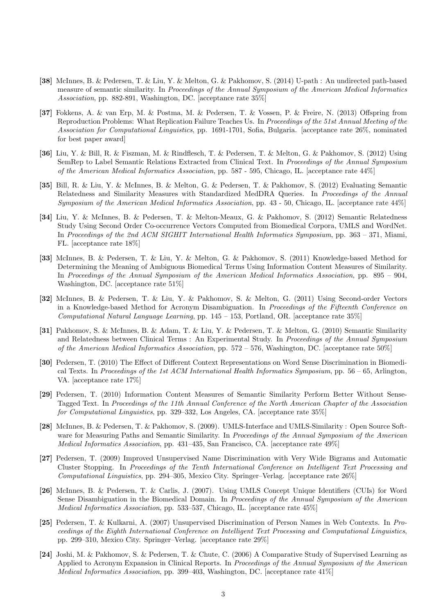- [38] McInnes, B. & Pedersen, T. & Liu, Y. & Melton, G. & Pakhomov, S. (2014) U-path : An undirected path-based measure of semantic similarity. In Proceedings of the Annual Symposium of the American Medical Informatics Association, pp. 882-891, Washington, DC. [acceptance rate 35%]
- [37] Fokkens, A. & van Erp, M. & Postma, M. & Pedersen, T. & Vossen, P. & Freire, N. (2013) Offspring from Reproduction Problems: What Replication Failure Teaches Us. In Proceedings of the 51st Annual Meeting of the Association for Computational Linguistics, pp. 1691-1701, Sofia, Bulgaria. [acceptance rate 26%, nominated for best paper award]
- [36] Liu, Y. & Bill, R. & Fiszman, M. & Rindflesch, T. & Pedersen, T. & Melton, G. & Pakhomov, S. (2012) Using SemRep to Label Semantic Relations Extracted from Clinical Text. In Proceedings of the Annual Symposium of the American Medical Informatics Association, pp. 587 - 595, Chicago, IL. [acceptance rate 44%]
- [35] Bill, R. & Liu, Y. & McInnes, B. & Melton, G. & Pedersen, T. & Pakhomov, S. (2012) Evaluating Semantic Relatedness and Similarity Measures with Standardized MedDRA Queries. In Proceedings of the Annual Symposium of the American Medical Informatics Association, pp. 43 - 50, Chicago, IL. [acceptance rate 44%]
- [34] Liu, Y. & McInnes, B. & Pedersen, T. & Melton-Meaux, G. & Pakhomov, S. (2012) Semantic Relatedness Study Using Second Order Co-occurrence Vectors Computed from Biomedical Corpora, UMLS and WordNet. In Proceedings of the 2nd ACM SIGHIT International Health Informatics Symposium, pp. 363 – 371, Miami, FL. [acceptance rate 18%]
- [33] McInnes, B. & Pedersen, T. & Liu, Y. & Melton, G. & Pakhomov, S. (2011) Knowledge-based Method for Determining the Meaning of Ambiguous Biomedical Terms Using Information Content Measures of Similarity. In Proceedings of the Annual Symposium of the American Medical Informatics Association, pp. 895 – 904, Washington, DC. [acceptance rate 51%]
- [32] McInnes, B. & Pedersen, T. & Liu, Y. & Pakhomov, S. & Melton, G. (2011) Using Second-order Vectors in a Knowledge-based Method for Acronym Disambiguation. In Proceedings of the Fifteenth Conference on Computational Natural Language Learning, pp.  $145 - 153$ , Portland, OR. [acceptance rate  $35\%$ ]
- [31] Pakhomov, S. & McInnes, B. & Adam, T. & Liu, Y. & Pedersen, T. & Melton, G. (2010) Semantic Similarity and Relatedness between Clinical Terms : An Experimental Study. In Proceedings of the Annual Symposium of the American Medical Informatics Association, pp.  $572 - 576$ , Washington, DC. [acceptance rate  $50\%$ ]
- [30] Pedersen, T. (2010) The Effect of Different Context Representations on Word Sense Discrimination in Biomedical Texts. In Proceedings of the 1st ACM International Health Informatics Symposium, pp.  $56 - 65$ , Arlington, VA. [acceptance rate 17%]
- [29] Pedersen, T. (2010) Information Content Measures of Semantic Similarity Perform Better Without Sense-Tagged Text. In Proceedings of the 11th Annual Conference of the North American Chapter of the Association for Computational Linguistics, pp. 329–332, Los Angeles, CA. [acceptance rate 35%]
- [28] McInnes, B. & Pedersen, T. & Pakhomov, S. (2009). UMLS-Interface and UMLS-Similarity : Open Source Software for Measuring Paths and Semantic Similarity. In Proceedings of the Annual Symposium of the American Medical Informatics Association, pp. 431–435, San Francisco, CA. [acceptance rate 49%]
- [27] Pedersen, T. (2009) Improved Unsupervised Name Discrimination with Very Wide Bigrams and Automatic Cluster Stopping. In Proceedings of the Tenth International Conference on Intelligent Text Processing and Computational Linguistics, pp. 294–305, Mexico City. Springer–Verlag. [acceptance rate 26%]
- [26] McInnes, B. & Pedersen, T. & Carlis, J. (2007). Using UMLS Concept Unique Identifiers (CUIs) for Word Sense Disambiguation in the Biomedical Domain. In Proceedings of the Annual Symposium of the American Medical Informatics Association, pp. 533–537, Chicago, IL. [acceptance rate 45%]
- [25] Pedersen, T. & Kulkarni, A. (2007) Unsupervised Discrimination of Person Names in Web Contexts. In Proceedings of the Eighth International Conference on Intelligent Text Processing and Computational Linguistics, pp. 299–310, Mexico City. Springer–Verlag. [acceptance rate 29%]
- [24] Joshi, M. & Pakhomov, S. & Pedersen, T. & Chute, C. (2006) A Comparative Study of Supervised Learning as Applied to Acronym Expansion in Clinical Reports. In Proceedings of the Annual Symposium of the American Medical Informatics Association, pp. 399–403, Washington, DC. [acceptance rate 41%]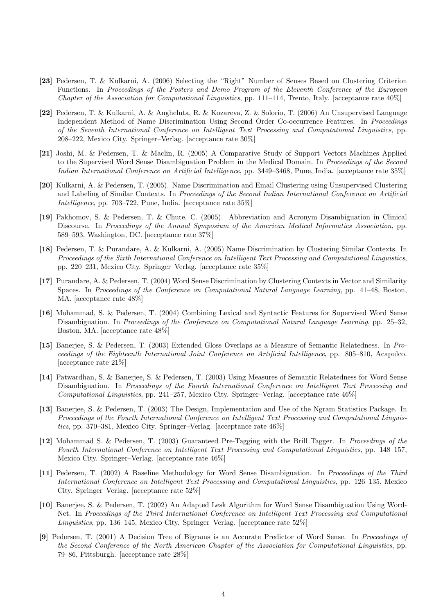- [23] Pedersen, T. & Kulkarni, A. (2006) Selecting the "Right" Number of Senses Based on Clustering Criterion Functions. In Proceedings of the Posters and Demo Program of the Eleventh Conference of the European Chapter of the Association for Computational Linguistics, pp. 111–114, Trento, Italy. [acceptance rate  $40\%$ ]
- [22] Pedersen, T. & Kulkarni, A. & Angheluta, R. & Kozareva, Z. & Solorio, T. (2006) An Unsupervised Language Independent Method of Name Discrimination Using Second Order Co-occurrence Features. In Proceedings of the Seventh International Conference on Intelligent Text Processing and Computational Linguistics, pp. 208–222, Mexico City. Springer–Verlag. [acceptance rate 30%]
- [21] Joshi, M. & Pedersen, T. & Maclin, R. (2005) A Comparative Study of Support Vectors Machines Applied to the Supervised Word Sense Disambiguation Problem in the Medical Domain. In Proceedings of the Second Indian International Conference on Artificial Intelligence, pp. 3449–3468, Pune, India. [acceptance rate 35%]
- [20] Kulkarni, A. & Pedersen, T. (2005). Name Discrimination and Email Clustering using Unsupervised Clustering and Labeling of Similar Contexts. In Proceedings of the Second Indian International Conference on Artificial Intelligence, pp. 703–722, Pune, India. [acceptance rate 35%]
- [19] Pakhomov, S. & Pedersen, T. & Chute, C. (2005). Abbreviation and Acronym Disambiguation in Clinical Discourse. In Proceedings of the Annual Symposium of the American Medical Informatics Association, pp. 589–593, Washington, DC. [acceptance rate 37%]
- [18] Pedersen, T. & Purandare, A. & Kulkarni, A. (2005) Name Discrimination by Clustering Similar Contexts. In Proceedings of the Sixth International Conference on Intelligent Text Processing and Computational Linguistics, pp. 220–231, Mexico City. Springer–Verlag. [acceptance rate 35%]
- [17] Purandare, A. & Pedersen, T. (2004) Word Sense Discrimination by Clustering Contexts in Vector and Similarity Spaces. In Proceedings of the Conference on Computational Natural Language Learning, pp. 41–48, Boston, MA. [acceptance rate 48%]
- [16] Mohammad, S. & Pedersen, T. (2004) Combining Lexical and Syntactic Features for Supervised Word Sense Disambiguation. In Proceedings of the Conference on Computational Natural Language Learning, pp. 25–32, Boston, MA. [acceptance rate 48%]
- [15] Banerjee, S. & Pedersen, T. (2003) Extended Gloss Overlaps as a Measure of Semantic Relatedness. In Proceedings of the Eighteenth International Joint Conference on Artificial Intelligence, pp. 805–810, Acapulco. [acceptance rate 21%]
- [14] Patwardhan, S. & Banerjee, S. & Pedersen, T. (2003) Using Measures of Semantic Relatedness for Word Sense Disambiguation. In Proceedings of the Fourth International Conference on Intelligent Text Processing and Computational Linguistics, pp. 241–257, Mexico City. Springer–Verlag. [acceptance rate 46%]
- [13] Banerjee, S. & Pedersen, T. (2003) The Design, Implementation and Use of the Ngram Statistics Package. In Proceedings of the Fourth International Conference on Intelligent Text Processing and Computational Linguistics, pp. 370–381, Mexico City. Springer–Verlag. [acceptance rate 46%]
- [12] Mohammad S. & Pedersen, T. (2003) Guaranteed Pre-Tagging with the Brill Tagger. In Proceedings of the Fourth International Conference on Intelligent Text Processing and Computational Linguistics, pp. 148–157, Mexico City. Springer–Verlag. [acceptance rate 46%]
- [11] Pedersen, T. (2002) A Baseline Methodology for Word Sense Disambiguation. In Proceedings of the Third International Conference on Intelligent Text Processing and Computational Linguistics, pp. 126–135, Mexico City. Springer–Verlag. [acceptance rate 52%]
- [10] Banerjee, S. & Pedersen, T. (2002) An Adapted Lesk Algorithm for Word Sense Disambiguation Using Word-Net. In Proceedings of the Third International Conference on Intelligent Text Processing and Computational Linguistics, pp. 136–145, Mexico City. Springer–Verlag. [acceptance rate 52%]
- [9] Pedersen, T. (2001) A Decision Tree of Bigrams is an Accurate Predictor of Word Sense. In Proceedings of the Second Conference of the North American Chapter of the Association for Computational Linguistics, pp. 79–86, Pittsburgh. [acceptance rate 28%]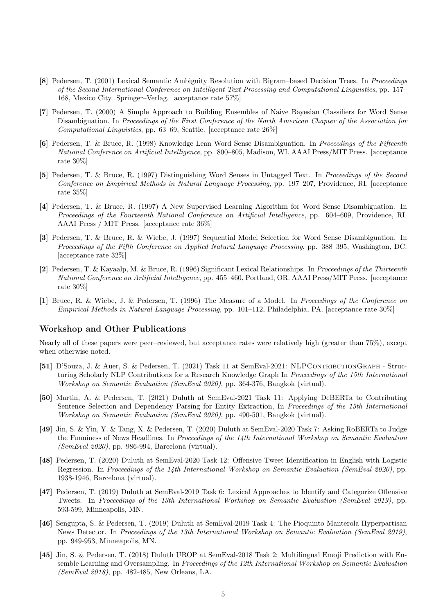- [8] Pedersen, T. (2001) Lexical Semantic Ambiguity Resolution with Bigram–based Decision Trees. In Proceedings of the Second International Conference on Intelligent Text Processing and Computational Linguistics, pp. 157– 168, Mexico City. Springer–Verlag. [acceptance rate 57%]
- [7] Pedersen, T. (2000) A Simple Approach to Building Ensembles of Naive Bayesian Classifiers for Word Sense Disambiguation. In Proceedings of the First Conference of the North American Chapter of the Association for Computational Linguistics, pp. 63–69, Seattle. [acceptance rate 26%]
- [6] Pedersen, T. & Bruce, R. (1998) Knowledge Lean Word Sense Disambiguation. In Proceedings of the Fifteenth National Conference on Artificial Intelligence, pp. 800–805, Madison, WI. AAAI Press/MIT Press. [acceptance rate 30%]
- [5] Pedersen, T. & Bruce, R. (1997) Distinguishing Word Senses in Untagged Text. In Proceedings of the Second Conference on Empirical Methods in Natural Language Processing, pp. 197–207, Providence, RI. [acceptance rate 35%]
- [4] Pedersen, T. & Bruce, R. (1997) A New Supervised Learning Algorithm for Word Sense Disambiguation. In Proceedings of the Fourteenth National Conference on Artificial Intelligence, pp. 604–609, Providence, RI. AAAI Press / MIT Press. [acceptance rate 36%]
- [3] Pedersen, T. & Bruce, R. & Wiebe, J. (1997) Sequential Model Selection for Word Sense Disambiguation. In Proceedings of the Fifth Conference on Applied Natural Language Processing, pp. 388–395, Washington, DC. [acceptance rate 32%]
- [2] Pedersen, T. & Kayaalp, M. & Bruce, R. (1996) Significant Lexical Relationships. In Proceedings of the Thirteenth National Conference on Artificial Intelligence, pp. 455–460, Portland, OR. AAAI Press/MIT Press. [acceptance rate 30%]
- [1] Bruce, R. & Wiebe, J. & Pedersen, T. (1996) The Measure of a Model. In Proceedings of the Conference on Empirical Methods in Natural Language Processing, pp. 101–112, Philadelphia, PA. [acceptance rate 30%]

## Workshop and Other Publications

Nearly all of these papers were peer–reviewed, but acceptance rates were relatively high (greater than 75%), except when otherwise noted.

- [51] D'Souza, J. & Auer, S. & Pedersen, T. (2021) Task 11 at SemEval-2021: NLPContributionGraph Structuring Scholarly NLP Contributions for a Research Knowledge Graph In Proceedings of the 15th International Workshop on Semantic Evaluation (SemEval 2020), pp. 364-376, Bangkok (virtual).
- [50] Martin, A. & Pedersen, T. (2021) Duluth at SemEval-2021 Task 11: Applying DeBERTa to Contributing Sentence Selection and Dependency Parsing for Entity Extraction, In Proceedings of the 15th International Workshop on Semantic Evaluation (SemEval 2020), pp. 490-501, Bangkok (virtual).
- [49] Jin, S. & Yin, Y. & Tang, X. & Pedersen, T. (2020) Duluth at SemEval-2020 Task 7: Asking RoBERTa to Judge the Funniness of News Headlines. In *Proceedings of the 14th International Workshop on Semantic Evaluation* (SemEval 2020), pp. 986-994, Barcelona (virtual).
- [48] Pedersen, T. (2020) Duluth at SemEval-2020 Task 12: Offensive Tweet Identification in English with Logistic Regression. In Proceedings of the 14th International Workshop on Semantic Evaluation (SemEval 2020), pp. 1938-1946, Barcelona (virtual).
- [47] Pedersen, T. (2019) Duluth at SemEval-2019 Task 6: Lexical Approaches to Identify and Categorize Offensive Tweets. In Proceedings of the 13th International Workshop on Semantic Evaluation (SemEval 2019), pp. 593-599, Minneapolis, MN.
- [46] Sengupta, S. & Pedersen, T. (2019) Duluth at SemEval-2019 Task 4: The Pioquinto Manterola Hyperpartisan News Detector. In Proceedings of the 13th International Workshop on Semantic Evaluation (SemEval 2019), pp. 949-953, Minneapolis, MN.
- [45] Jin, S. & Pedersen, T. (2018) Duluth UROP at SemEval-2018 Task 2: Multilingual Emoji Prediction with Ensemble Learning and Oversampling. In Proceedings of the 12th International Workshop on Semantic Evaluation (SemEval 2018), pp. 482-485, New Orleans, LA.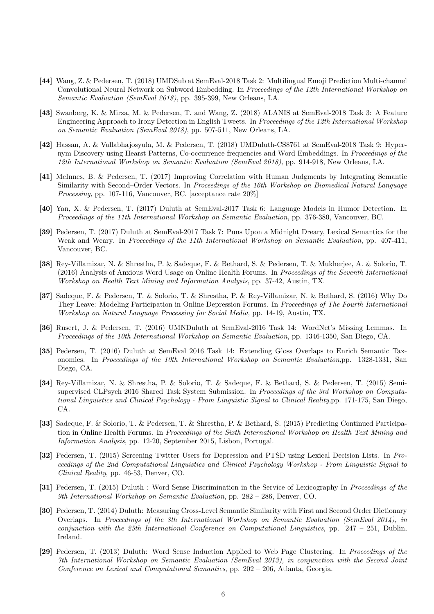- [44] Wang, Z. & Pedersen, T. (2018) UMDSub at SemEval-2018 Task 2: Multilingual Emoji Prediction Multi-channel Convolutional Neural Network on Subword Embedding. In Proceedings of the 12th International Workshop on Semantic Evaluation (SemEval 2018), pp. 395-399, New Orleans, LA.
- [43] Swanberg, K. & Mirza, M. & Pedersen, T. and Wang, Z. (2018) ALANIS at SemEval-2018 Task 3: A Feature Engineering Approach to Irony Detection in English Tweets. In Proceedings of the 12th International Workshop on Semantic Evaluation (SemEval 2018), pp. 507-511, New Orleans, LA.
- [42] Hassan, A. & Vallabhajosyula, M. & Pedersen, T. (2018) UMDuluth-CS8761 at SemEval-2018 Task 9: Hypernym Discovery using Hearst Patterns, Co-occurrence frequencies and Word Embeddings. In Proceedings of the 12th International Workshop on Semantic Evaluation (SemEval 2018), pp. 914-918, New Orleans, LA.
- [41] McInnes, B. & Pedersen, T. (2017) Improving Correlation with Human Judgments by Integrating Semantic Similarity with Second–Order Vectors. In Proceedings of the 16th Workshop on Biomedical Natural Language Processing, pp. 107-116, Vancouver, BC. [acceptance rate  $20\%$ ]
- [40] Yan, X. & Pedersen, T. (2017) Duluth at SemEval-2017 Task 6: Language Models in Humor Detection. In Proceedings of the 11th International Workshop on Semantic Evaluation, pp. 376-380, Vancouver, BC.
- [39] Pedersen, T. (2017) Duluth at SemEval-2017 Task 7: Puns Upon a Midnight Dreary, Lexical Semantics for the Weak and Weary. In Proceedings of the 11th International Workshop on Semantic Evaluation, pp. 407-411, Vancouver, BC.
- [38] Rey-Villamizar, N. & Shrestha, P. & Sadeque, F. & Bethard, S. & Pedersen, T. & Mukherjee, A. & Solorio, T. (2016) Analysis of Anxious Word Usage on Online Health Forums. In Proceedings of the Seventh International Workshop on Health Text Mining and Information Analysis, pp. 37-42, Austin, TX.
- [37] Sadeque, F. & Pedersen, T. & Solorio, T. & Shrestha, P. & Rey-Villamizar, N. & Bethard, S. (2016) Why Do They Leave: Modeling Participation in Online Depression Forums. In Proceedings of The Fourth International Workshop on Natural Language Processing for Social Media, pp. 14-19, Austin, TX.
- [36] Rusert, J. & Pedersen, T. (2016) UMNDuluth at SemEval-2016 Task 14: WordNet's Missing Lemmas. In Proceedings of the 10th International Workshop on Semantic Evaluation, pp. 1346-1350, San Diego, CA.
- [35] Pedersen, T. (2016) Duluth at SemEval 2016 Task 14: Extending Gloss Overlaps to Enrich Semantic Taxonomies. In Proceedings of the 10th International Workshop on Semantic Evaluation,pp. 1328-1331, San Diego, CA.
- [34] Rey-Villamizar, N. & Shrestha, P. & Solorio, T. & Sadeque, F. & Bethard, S. & Pedersen, T. (2015) Semisupervised CLPsych 2016 Shared Task System Submission. In Proceedings of the 3rd Workshop on Computational Linguistics and Clinical Psychology - From Linguistic Signal to Clinical Reality,pp. 171-175, San Diego, CA.
- [33] Sadeque, F. & Solorio, T. & Pedersen, T. & Shrestha, P. & Bethard, S. (2015) Predicting Continued Participation in Online Health Forums. In Proceedings of the Sixth International Workshop on Health Text Mining and Information Analysis, pp. 12-20, September 2015, Lisbon, Portugal.
- [32] Pedersen, T. (2015) Screening Twitter Users for Depression and PTSD using Lexical Decision Lists. In Proceedings of the 2nd Computational Linguistics and Clinical Psychology Workshop - From Linguistic Signal to Clinical Reality, pp. 46-53, Denver, CO.
- [31] Pedersen, T. (2015) Duluth : Word Sense Discrimination in the Service of Lexicography In Proceedings of the 9th International Workshop on Semantic Evaluation, pp. 282 – 286, Denver, CO.
- [30] Pedersen, T. (2014) Duluth: Measuring Cross-Level Semantic Similarity with First and Second Order Dictionary Overlaps. In Proceedings of the 8th International Workshop on Semantic Evaluation (SemEval 2014), in conjunction with the 25th International Conference on Computational Linguistics, pp.  $247 - 251$ , Dublin, Ireland.
- [29] Pedersen, T. (2013) Duluth: Word Sense Induction Applied to Web Page Clustering. In Proceedings of the 7th International Workshop on Semantic Evaluation (SemEval 2013), in conjunction with the Second Joint Conference on Lexical and Computational Semantics, pp. 202 – 206, Atlanta, Georgia.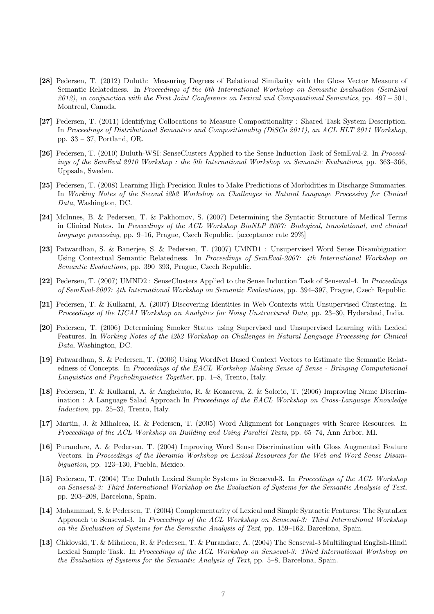- [28] Pedersen, T. (2012) Duluth: Measuring Degrees of Relational Similarity with the Gloss Vector Measure of Semantic Relatedness. In Proceedings of the 6th International Workshop on Semantic Evaluation (SemEval 2012), in conjunction with the First Joint Conference on Lexical and Computational Semantics, pp.  $497 - 501$ , Montreal, Canada.
- [27] Pedersen, T. (2011) Identifying Collocations to Measure Compositionality : Shared Task System Description. In Proceedings of Distributional Semantics and Compositionality (DiSCo 2011), an ACL HLT 2011 Workshop, pp. 33 – 37, Portland, OR.
- [26] Pedersen, T. (2010) Duluth-WSI: SenseClusters Applied to the Sense Induction Task of SemEval-2. In Proceedings of the SemEval 2010 Workshop : the 5th International Workshop on Semantic Evaluations, pp. 363–366, Uppsala, Sweden.
- [25] Pedersen, T. (2008) Learning High Precision Rules to Make Predictions of Morbidities in Discharge Summaries. In Working Notes of the Second i2b2 Workshop on Challenges in Natural Language Processing for Clinical Data, Washington, DC.
- [24] McInnes, B. & Pedersen, T. & Pakhomov, S. (2007) Determining the Syntactic Structure of Medical Terms in Clinical Notes. In Proceedings of the ACL Workshop BioNLP 2007: Biological, translational, and clinical language processing, pp. 9–16, Prague, Czech Republic. [acceptance rate 29%]
- [23] Patwardhan, S. & Banerjee, S. & Pedersen, T. (2007) UMND1 : Unsupervised Word Sense Disambiguation Using Contextual Semantic Relatedness. In Proceedings of SemEval-2007: 4th International Workshop on Semantic Evaluations, pp. 390–393, Prague, Czech Republic.
- [22] Pedersen, T. (2007) UMND2 : SenseClusters Applied to the Sense Induction Task of Senseval-4. In Proceedings of SemEval-2007: 4th International Workshop on Semantic Evaluations, pp. 394–397, Prague, Czech Republic.
- [21] Pedersen, T. & Kulkarni, A. (2007) Discovering Identities in Web Contexts with Unsupervised Clustering. In Proceedings of the IJCAI Workshop on Analytics for Noisy Unstructured Data, pp. 23–30, Hyderabad, India.
- [20] Pedersen, T. (2006) Determining Smoker Status using Supervised and Unsupervised Learning with Lexical Features. In Working Notes of the i2b2 Workshop on Challenges in Natural Language Processing for Clinical Data, Washington, DC.
- [19] Patwardhan, S. & Pedersen, T. (2006) Using WordNet Based Context Vectors to Estimate the Semantic Relatedness of Concepts. In Proceedings of the EACL Workshop Making Sense of Sense - Bringing Computational Linguistics and Psycholinguistics Together, pp. 1–8, Trento, Italy.
- [18] Pedersen, T. & Kulkarni, A. & Angheluta, R. & Kozareva, Z. & Solorio, T. (2006) Improving Name Discrimination : A Language Salad Approach In Proceedings of the EACL Workshop on Cross-Language Knowledge Induction, pp. 25–32, Trento, Italy.
- [17] Martin, J. & Mihalcea, R. & Pedersen, T. (2005) Word Alignment for Languages with Scarce Resources. In Proceedings of the ACL Workshop on Building and Using Parallel Texts, pp. 65–74, Ann Arbor, MI.
- [16] Purandare, A. & Pedersen, T. (2004) Improving Word Sense Discrimination with Gloss Augmented Feature Vectors. In Proceedings of the Iberamia Workshop on Lexical Resources for the Web and Word Sense Disambiguation, pp. 123–130, Puebla, Mexico.
- [15] Pedersen, T. (2004) The Duluth Lexical Sample Systems in Senseval-3. In Proceedings of the ACL Workshop on Senseval-3: Third International Workshop on the Evaluation of Systems for the Semantic Analysis of Text, pp. 203–208, Barcelona, Spain.
- [14] Mohammad, S. & Pedersen, T. (2004) Complementarity of Lexical and Simple Syntactic Features: The SyntaLex Approach to Senseval-3. In Proceedings of the ACL Workshop on Senseval-3: Third International Workshop on the Evaluation of Systems for the Semantic Analysis of Text, pp. 159–162, Barcelona, Spain.
- [13] Chklovski, T. & Mihalcea, R. & Pedersen, T. & Purandare, A. (2004) The Senseval-3 Multilingual English-Hindi Lexical Sample Task. In Proceedings of the ACL Workshop on Senseval-3: Third International Workshop on the Evaluation of Systems for the Semantic Analysis of Text, pp. 5–8, Barcelona, Spain.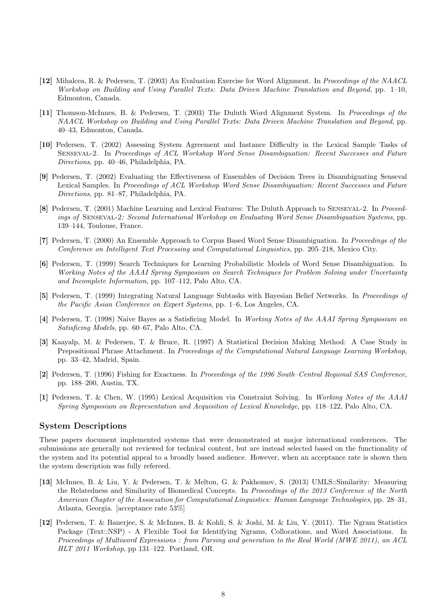- [12] Mihalcea, R. & Pedersen, T. (2003) An Evaluation Exercise for Word Alignment. In Proceedings of the NAACL Workshop on Building and Using Parallel Texts: Data Driven Machine Translation and Beyond, pp. 1–10, Edmonton, Canada.
- [11] Thomson-McInnes, B. & Pedersen, T. (2003) The Duluth Word Alignment System. In Proceedings of the NAACL Workshop on Building and Using Parallel Texts: Data Driven Machine Translation and Beyond, pp. 40–43, Edmonton, Canada.
- [10] Pedersen, T. (2002) Assessing System Agreement and Instance Difficulty in the Lexical Sample Tasks of Senseval-2. In Proceedings of ACL Workshop Word Sense Disambiguation: Recent Successes and Future Directions, pp. 40–46, Philadelphia, PA.
- [9] Pedersen, T. (2002) Evaluating the Effectiveness of Ensembles of Decision Trees in Disambiguating Senseval Lexical Samples. In Proceedings of ACL Workshop Word Sense Disambiguation: Recent Successes and Future Directions, pp. 81–87, Philadelphia, PA.
- [8] Pedersen, T. (2001) Machine Learning and Lexical Features: The Duluth Approach to Senseval-2. In Proceedings of Senseval-2: Second International Workshop on Evaluating Word Sense Disambiguation Systems, pp. 139–144, Toulouse, France.
- [7] Pedersen, T. (2000) An Ensemble Approach to Corpus Based Word Sense Disambiguation. In Proceedings of the Conference on Intelligent Text Processing and Computational Linguistics, pp. 205–218, Mexico City.
- [6] Pedersen, T. (1999) Search Techniques for Learning Probabilistic Models of Word Sense Disambiguation. In Working Notes of the AAAI Spring Symposium on Search Techniques for Problem Solving under Uncertainty and Incomplete Information, pp. 107–112, Palo Alto, CA.
- [5] Pedersen, T. (1999) Integrating Natural Language Subtasks with Bayesian Belief Networks. In Proceedings of the Pacific Asian Conference on Expert Systems, pp. 1–6, Los Angeles, CA.
- [4] Pedersen, T. (1998) Naive Bayes as a Satisficing Model. In Working Notes of the AAAI Spring Symposium on Satisficing Models, pp. 60–67, Palo Alto, CA.
- [3] Kaayalp, M. & Pedersen, T. & Bruce, R. (1997) A Statistical Decision Making Method: A Case Study in Prepositional Phrase Attachment. In Proceedings of the Computational Natural Language Learning Workshop, pp. 33–42, Madrid, Spain.
- [2] Pedersen, T. (1996) Fishing for Exactness. In Proceedings of the 1996 South–Central Regional SAS Conference, pp. 188–200, Austin, TX.
- [1] Pedersen, T. & Chen, W. (1995) Lexical Acquisition via Constraint Solving. In Working Notes of the AAAI Spring Symposium on Representation and Acquisition of Lexical Knowledge, pp. 118–122, Palo Alto, CA.

#### System Descriptions

These papers document implemented systems that were demonstrated at major international conferences. The submissions are generally not reviewed for technical content, but are instead selected based on the functionality of the system and its potential appeal to a broadly based audience. However, when an acceptance rate is shown then the system description was fully refereed.

- [13] McInnes, B. & Liu, Y. & Pedersen, T. & Melton, G. & Pakhomov, S. (2013) UMLS::Similarity: Measuring the Relatedness and Similarity of Biomedical Concepts. In Proceedings of the 2013 Conference of the North American Chapter of the Association for Computational Linguistics: Human Language Technologies, pp. 28–31, Atlanta, Georgia. [acceptance rate 53%]
- [12] Pedersen, T. & Banerjee, S. & McInnes, B. & Kohli, S. & Joshi, M. & Liu, Y. (2011). The Ngram Statistics Package (Text::NSP) - A Flexible Tool for Identifying Ngrams, Collocations, and Word Associations. In Proceedings of Multiword Expressions : from Parsing and generation to the Real World (MWE 2011), an ACL HLT 2011 Workshop, pp 131–122. Portland, OR.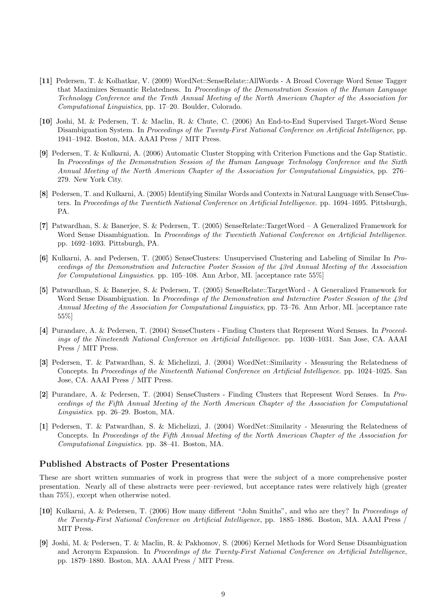- [11] Pedersen, T. & Kolhatkar, V. (2009) WordNet::SenseRelate::AllWords A Broad Coverage Word Sense Tagger that Maximizes Semantic Relatedness. In Proceedings of the Demonstration Session of the Human Language Technology Conference and the Tenth Annual Meeting of the North American Chapter of the Association for Computational Linguistics, pp. 17–20. Boulder, Colorado.
- [10] Joshi, M. & Pedersen, T. & Maclin, R. & Chute, C. (2006) An End-to-End Supervised Target-Word Sense Disambiguation System. In Proceedings of the Twenty-First National Conference on Artificial Intelligence, pp. 1941–1942. Boston, MA. AAAI Press / MIT Press.
- [9] Pedersen, T. & Kulkarni, A. (2006) Automatic Cluster Stopping with Criterion Functions and the Gap Statistic. In Proceedings of the Demonstration Session of the Human Language Technology Conference and the Sixth Annual Meeting of the North American Chapter of the Association for Computational Linguistics, pp. 276– 279. New York City.
- [8] Pedersen, T. and Kulkarni, A. (2005) Identifying Similar Words and Contexts in Natural Language with SenseClusters. In Proceedings of the Twentieth National Conference on Artificial Intelligence. pp. 1694–1695. Pittsburgh, PA.
- [7] Patwardhan, S. & Banerjee, S. & Pedersen, T. (2005) SenseRelate::TargetWord A Generalized Framework for Word Sense Disambiguation. In Proceedings of the Twentieth National Conference on Artificial Intelligence. pp. 1692–1693. Pittsburgh, PA.
- [6] Kulkarni, A. and Pedersen, T. (2005) SenseClusters: Unsupervised Clustering and Labeling of Similar In Proceedings of the Demonstration and Interactive Poster Session of the 43rd Annual Meeting of the Association for Computational Linguistics. pp. 105–108. Ann Arbor, MI. [acceptance rate 55%]
- [5] Patwardhan, S. & Banerjee, S. & Pedersen, T. (2005) SenseRelate::TargetWord A Generalized Framework for Word Sense Disambiguation. In Proceedings of the Demonstration and Interactive Poster Session of the 43rd Annual Meeting of the Association for Computational Linguistics, pp. 73–76. Ann Arbor, MI. [acceptance rate 55%]
- [4] Purandare, A. & Pedersen, T. (2004) SenseClusters Finding Clusters that Represent Word Senses. In Proceedings of the Nineteenth National Conference on Artificial Intelligence. pp. 1030–1031. San Jose, CA. AAAI Press / MIT Press.
- [3] Pedersen, T. & Patwardhan, S. & Michelizzi, J. (2004) WordNet::Similarity Measuring the Relatedness of Concepts. In Proceedings of the Nineteenth National Conference on Artificial Intelligence. pp. 1024–1025. San Jose, CA. AAAI Press / MIT Press.
- [2] Purandare, A. & Pedersen, T. (2004) SenseClusters Finding Clusters that Represent Word Senses. In Proceedings of the Fifth Annual Meeting of the North American Chapter of the Association for Computational Linguistics. pp. 26–29. Boston, MA.
- [1] Pedersen, T. & Patwardhan, S. & Michelizzi, J. (2004) WordNet::Similarity Measuring the Relatedness of Concepts. In Proceedings of the Fifth Annual Meeting of the North American Chapter of the Association for Computational Linguistics. pp. 38–41. Boston, MA.

#### Published Abstracts of Poster Presentations

These are short written summaries of work in progress that were the subject of a more comprehensive poster presentation. Nearly all of these abstracts were peer–reviewed, but acceptance rates were relatively high (greater than 75%), except when otherwise noted.

- [10] Kulkarni, A. & Pedersen, T. (2006) How many different "John Smiths", and who are they? In Proceedings of the Twenty-First National Conference on Artificial Intelligence, pp. 1885–1886. Boston, MA. AAAI Press / MIT Press.
- [9] Joshi, M. & Pedersen, T. & Maclin, R. & Pakhomov, S. (2006) Kernel Methods for Word Sense Disambiguation and Acronym Expansion. In Proceedings of the Twenty-First National Conference on Artificial Intelligence, pp. 1879–1880. Boston, MA. AAAI Press / MIT Press.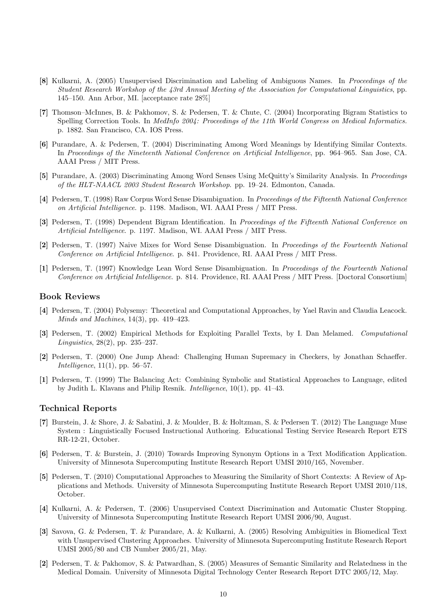- [8] Kulkarni, A. (2005) Unsupervised Discrimination and Labeling of Ambiguous Names. In Proceedings of the Student Research Workshop of the 43rd Annual Meeting of the Association for Computational Linguistics, pp. 145–150. Ann Arbor, MI. [acceptance rate 28%]
- [7] Thomson–McInnes, B. & Pakhomov, S. & Pedersen, T. & Chute, C. (2004) Incorporating Bigram Statistics to Spelling Correction Tools. In MedInfo 2004: Proceedings of the 11th World Congress on Medical Informatics. p. 1882. San Francisco, CA. IOS Press.
- [6] Purandare, A. & Pedersen, T. (2004) Discriminating Among Word Meanings by Identifying Similar Contexts. In Proceedings of the Nineteenth National Conference on Artificial Intelligence, pp. 964–965. San Jose, CA. AAAI Press / MIT Press.
- [5] Purandare, A. (2003) Discriminating Among Word Senses Using McQuitty's Similarity Analysis. In Proceedings of the HLT-NAACL 2003 Student Research Workshop. pp. 19–24. Edmonton, Canada.
- [4] Pedersen, T. (1998) Raw Corpus Word Sense Disambiguation. In Proceedings of the Fifteenth National Conference on Artificial Intelligence. p. 1198. Madison, WI. AAAI Press / MIT Press.
- [3] Pedersen, T. (1998) Dependent Bigram Identification. In Proceedings of the Fifteenth National Conference on Artificial Intelligence. p. 1197. Madison, WI. AAAI Press / MIT Press.
- [2] Pedersen, T. (1997) Naive Mixes for Word Sense Disambiguation. In Proceedings of the Fourteenth National Conference on Artificial Intelligence. p. 841. Providence, RI. AAAI Press / MIT Press.
- [1] Pedersen, T. (1997) Knowledge Lean Word Sense Disambiguation. In Proceedings of the Fourteenth National Conference on Artificial Intelligence. p. 814. Providence, RI. AAAI Press / MIT Press. [Doctoral Consortium]

#### Book Reviews

- [4] Pedersen, T. (2004) Polysemy: Theoretical and Computational Approaches, by Yael Ravin and Claudia Leacock. Minds and Machines, 14(3), pp. 419–423.
- [3] Pedersen, T. (2002) Empirical Methods for Exploiting Parallel Texts, by I. Dan Melamed. Computational Linguistics, 28(2), pp. 235–237.
- [2] Pedersen, T. (2000) One Jump Ahead: Challenging Human Supremacy in Checkers, by Jonathan Schaeffer. *Intelligence*,  $11(1)$ , pp. 56–57.
- [1] Pedersen, T. (1999) The Balancing Act: Combining Symbolic and Statistical Approaches to Language, edited by Judith L. Klavans and Philip Resnik. Intelligence, 10(1), pp. 41–43.

#### Technical Reports

- [7] Burstein, J. & Shore, J. & Sabatini, J. & Moulder, B. & Holtzman, S. & Pedersen T. (2012) The Language Muse System : Linguistically Focused Instructional Authoring. Educational Testing Service Research Report ETS RR-12-21, October.
- [6] Pedersen, T. & Burstein, J. (2010) Towards Improving Synonym Options in a Text Modification Application. University of Minnesota Supercomputing Institute Research Report UMSI 2010/165, November.
- [5] Pedersen, T. (2010) Computational Approaches to Measuring the Similarity of Short Contexts: A Review of Applications and Methods. University of Minnesota Supercomputing Institute Research Report UMSI 2010/118, October.
- [4] Kulkarni, A. & Pedersen, T. (2006) Unsupervised Context Discrimination and Automatic Cluster Stopping. University of Minnesota Supercomputing Institute Research Report UMSI 2006/90, August.
- [3] Savova, G. & Pedersen, T. & Purandare, A. & Kulkarni, A. (2005) Resolving Ambiguities in Biomedical Text with Unsupervised Clustering Approaches. University of Minnesota Supercomputing Institute Research Report UMSI 2005/80 and CB Number 2005/21, May.
- [2] Pedersen, T. & Pakhomov, S. & Patwardhan, S. (2005) Measures of Semantic Similarity and Relatedness in the Medical Domain. University of Minnesota Digital Technology Center Research Report DTC 2005/12, May.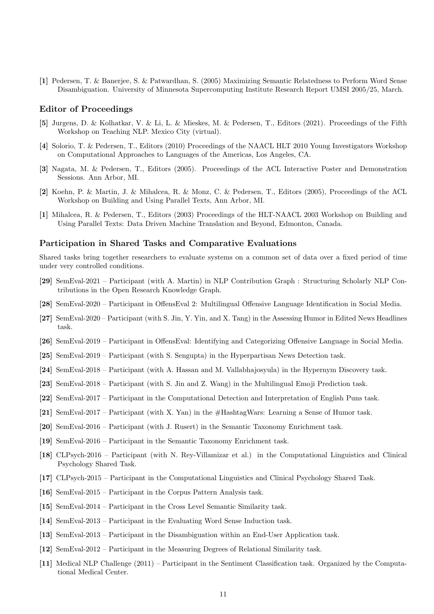[1] Pedersen, T. & Banerjee, S. & Patwardhan, S. (2005) Maximizing Semantic Relatedness to Perform Word Sense Disambiguation. University of Minnesota Supercomputing Institute Research Report UMSI 2005/25, March.

## Editor of Proceedings

- [5] Jurgens, D. & Kolhatkar, V. & Li, L. & Mieskes, M. & Pedersen, T., Editors (2021). Proceedings of the Fifth Workshop on Teaching NLP. Mexico City (virtual).
- [4] Solorio, T. & Pedersen, T., Editors (2010) Proceedings of the NAACL HLT 2010 Young Investigators Workshop on Computational Approaches to Languages of the Americas, Los Angeles, CA.
- [3] Nagata, M. & Pedersen, T., Editors (2005). Proceedings of the ACL Interactive Poster and Demonstration Sessions. Ann Arbor, MI.
- [2] Koehn, P. & Martin, J. & Mihalcea, R. & Monz, C. & Pedersen, T., Editors (2005), Proceedings of the ACL Workshop on Building and Using Parallel Texts, Ann Arbor, MI.
- [1] Mihalcea, R. & Pedersen, T., Editors (2003) Proceedings of the HLT-NAACL 2003 Workshop on Building and Using Parallel Texts: Data Driven Machine Translation and Beyond, Edmonton, Canada.

#### Participation in Shared Tasks and Comparative Evaluations

Shared tasks bring together researchers to evaluate systems on a common set of data over a fixed period of time under very controlled conditions.

- [29] SemEval-2021 Participant (with A. Martin) in NLP Contribution Graph : Structuring Scholarly NLP Contributions in the Open Research Knowledge Graph.
- [28] SemEval-2020 Participant in OffensEval 2: Multilingual Offensive Language Identification in Social Media.
- [27] SemEval-2020 Participant (with S. Jin, Y. Yin, and X. Tang) in the Assessing Humor in Edited News Headlines task.
- [26] SemEval-2019 Participant in OffensEval: Identifying and Categorizing Offensive Language in Social Media.
- [25] SemEval-2019 Participant (with S. Sengupta) in the Hyperpartisan News Detection task.
- [24] SemEval-2018 Participant (with A. Hassan and M. Vallabhajosyula) in the Hypernym Discovery task.
- [23] SemEval-2018 Participant (with S. Jin and Z. Wang) in the Multilingual Emoji Prediction task.
- [22] SemEval-2017 Participant in the Computational Detection and Interpretation of English Puns task.
- [21] SemEval-2017 Participant (with X. Yan) in the #HashtagWars: Learning a Sense of Humor task.
- [20] SemEval-2016 Participant (with J. Rusert) in the Semantic Taxonomy Enrichment task.
- [19] SemEval-2016 Participant in the Semantic Taxonomy Enrichment task.
- [18] CLPsych-2016 Participant (with N. Rey-Villamizar et al.) in the Computational Linguistics and Clinical Psychology Shared Task.
- [17] CLPsych-2015 Participant in the Computational Linguistics and Clinical Psychology Shared Task.
- [16] SemEval-2015 Participant in the Corpus Pattern Analysis task.
- [15] SemEval-2014 Participant in the Cross Level Semantic Similarity task.
- [14] SemEval-2013 Participant in the Evaluating Word Sense Induction task.
- [13] SemEval-2013 Participant in the Disambiguation within an End-User Application task.
- [12] SemEval-2012 Participant in the Measuring Degrees of Relational Similarity task.
- [11] Medical NLP Challenge (2011) Participant in the Sentiment Classification task. Organized by the Computational Medical Center.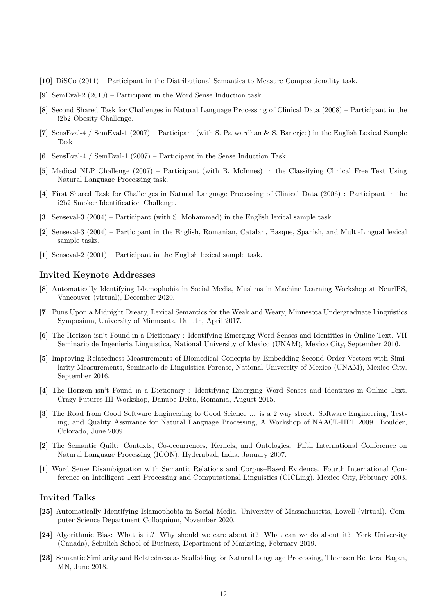- [10] DiSCo (2011) Participant in the Distributional Semantics to Measure Compositionality task.
- [9] SemEval-2 (2010) Participant in the Word Sense Induction task.
- [8] Second Shared Task for Challenges in Natural Language Processing of Clinical Data (2008) Participant in the i2b2 Obesity Challenge.
- [7] SensEval-4 / SemEval-1 (2007) Participant (with S. Patwardhan & S. Banerjee) in the English Lexical Sample Task
- [6] SensEval-4 / SemEval-1 (2007) Participant in the Sense Induction Task.
- [5] Medical NLP Challenge (2007) Participant (with B. McInnes) in the Classifying Clinical Free Text Using Natural Language Processing task.
- [4] First Shared Task for Challenges in Natural Language Processing of Clinical Data (2006) : Participant in the i2b2 Smoker Identification Challenge.
- [3] Senseval-3 (2004) Participant (with S. Mohammad) in the English lexical sample task.
- [2] Senseval-3 (2004) Participant in the English, Romanian, Catalan, Basque, Spanish, and Multi-Lingual lexical sample tasks.
- [1] Senseval-2 (2001) Participant in the English lexical sample task.

#### Invited Keynote Addresses

- [8] Automatically Identifying Islamophobia in Social Media, Muslims in Machine Learning Workshop at NeurlPS, Vancouver (virtual), December 2020.
- [7] Puns Upon a Midnight Dreary, Lexical Semantics for the Weak and Weary, Minnesota Undergraduate Linguistics Symposium, University of Minnesota, Duluth, April 2017.
- [6] The Horizon isn't Found in a Dictionary : Identifying Emerging Word Senses and Identities in Online Text, VII Seminario de Ingenieria Linguistica, National University of Mexico (UNAM), Mexico City, September 2016.
- [5] Improving Relatedness Measurements of Biomedical Concepts by Embedding Second-Order Vectors with Similarity Measurements, Seminario de Linguistica Forense, National University of Mexico (UNAM), Mexico City, September 2016.
- [4] The Horizon isn't Found in a Dictionary : Identifying Emerging Word Senses and Identities in Online Text, Crazy Futures III Workshop, Danube Delta, Romania, August 2015.
- [3] The Road from Good Software Engineering to Good Science ... is a 2 way street. Software Engineering, Testing, and Quality Assurance for Natural Language Processing, A Workshop of NAACL-HLT 2009. Boulder, Colorado, June 2009.
- [2] The Semantic Quilt: Contexts, Co-occurrences, Kernels, and Ontologies. Fifth International Conference on Natural Language Processing (ICON). Hyderabad, India, January 2007.
- [1] Word Sense Disambiguation with Semantic Relations and Corpus–Based Evidence. Fourth International Conference on Intelligent Text Processing and Computational Linguistics (CICLing), Mexico City, February 2003.

# Invited Talks

- [25] Automatically Identifying Islamophobia in Social Media, University of Massachusetts, Lowell (virtual), Computer Science Department Colloquium, November 2020.
- [24] Algorithmic Bias: What is it? Why should we care about it? What can we do about it? York University (Canada), Schulich School of Business, Department of Marketing, February 2019.
- [23] Semantic Similarity and Relatedness as Scaffolding for Natural Language Processing, Thomson Reuters, Eagan, MN, June 2018.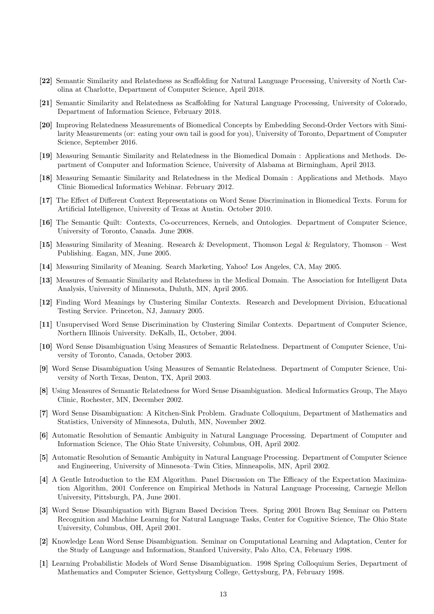- [22] Semantic Similarity and Relatedness as Scaffolding for Natural Language Processing, University of North Carolina at Charlotte, Department of Computer Science, April 2018.
- [21] Semantic Similarity and Relatedness as Scaffolding for Natural Language Processing, University of Colorado, Department of Information Science, February 2018.
- [20] Improving Relatedness Measurements of Biomedical Concepts by Embedding Second-Order Vectors with Similarity Measurements (or: eating your own tail is good for you), University of Toronto, Department of Computer Science, September 2016.
- [19] Measuring Semantic Similarity and Relatedness in the Biomedical Domain : Applications and Methods. Department of Computer and Information Science, University of Alabama at Birmingham, April 2013.
- [18] Measuring Semantic Similarity and Relatedness in the Medical Domain : Applications and Methods. Mayo Clinic Biomedical Informatics Webinar. February 2012.
- [17] The Effect of Different Context Representations on Word Sense Discrimination in Biomedical Texts. Forum for Artificial Intelligence, University of Texas at Austin. October 2010.
- [16] The Semantic Quilt: Contexts, Co-occurrences, Kernels, and Ontologies. Department of Computer Science, University of Toronto, Canada. June 2008.
- [15] Measuring Similarity of Meaning. Research & Development, Thomson Legal & Regulatory, Thomson West Publishing. Eagan, MN, June 2005.
- [14] Measuring Similarity of Meaning. Search Marketing, Yahoo! Los Angeles, CA, May 2005.
- [13] Measures of Semantic Similarity and Relatedness in the Medical Domain. The Association for Intelligent Data Analysis, University of Minnesota, Duluth, MN, April 2005.
- [12] Finding Word Meanings by Clustering Similar Contexts. Research and Development Division, Educational Testing Service. Princeton, NJ, January 2005.
- [11] Unsupervised Word Sense Discrimination by Clustering Similar Contexts. Department of Computer Science, Northern Illinois University. DeKalb, IL, October, 2004.
- [10] Word Sense Disambiguation Using Measures of Semantic Relatedness. Department of Computer Science, University of Toronto, Canada, October 2003.
- [9] Word Sense Disambiguation Using Measures of Semantic Relatedness. Department of Computer Science, University of North Texas, Denton, TX, April 2003.
- [8] Using Measures of Semantic Relatedness for Word Sense Disambiguation. Medical Informatics Group, The Mayo Clinic, Rochester, MN, December 2002.
- [7] Word Sense Disambiguation: A Kitchen-Sink Problem. Graduate Colloquium, Department of Mathematics and Statistics, University of Minnesota, Duluth, MN, November 2002.
- [6] Automatic Resolution of Semantic Ambiguity in Natural Language Processing. Department of Computer and Information Science, The Ohio State University, Columbus, OH, April 2002.
- [5] Automatic Resolution of Semantic Ambiguity in Natural Language Processing. Department of Computer Science and Engineering, University of Minnesota–Twin Cities, Minneapolis, MN, April 2002.
- [4] A Gentle Introduction to the EM Algorithm. Panel Discussion on The Efficacy of the Expectation Maximization Algorithm, 2001 Conference on Empirical Methods in Natural Language Processing, Carnegie Mellon University, Pittsburgh, PA, June 2001.
- [3] Word Sense Disambiguation with Bigram Based Decision Trees. Spring 2001 Brown Bag Seminar on Pattern Recognition and Machine Learning for Natural Language Tasks, Center for Cognitive Science, The Ohio State University, Columbus, OH, April 2001.
- [2] Knowledge Lean Word Sense Disambiguation. Seminar on Computational Learning and Adaptation, Center for the Study of Language and Information, Stanford University, Palo Alto, CA, February 1998.
- [1] Learning Probabilistic Models of Word Sense Disambiguation. 1998 Spring Colloquium Series, Department of Mathematics and Computer Science, Gettysburg College, Gettysburg, PA, February 1998.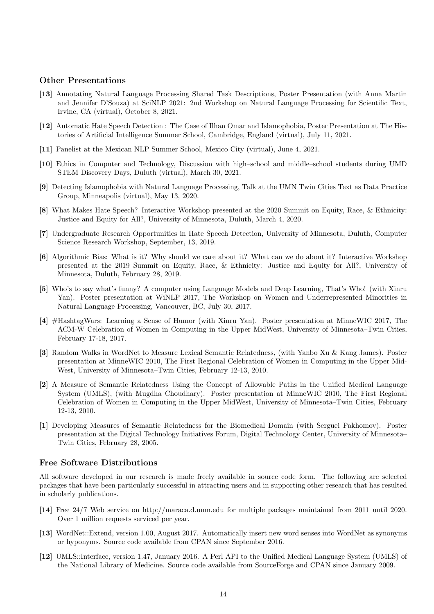#### Other Presentations

- [13] Annotating Natural Language Processing Shared Task Descriptions, Poster Presentation (with Anna Martin and Jennifer D'Souza) at SciNLP 2021: 2nd Workshop on Natural Language Processing for Scientific Text, Irvine, CA (virtual), October 8, 2021.
- [12] Automatic Hate Speech Detection : The Case of Ilhan Omar and Islamophobia, Poster Presentation at The Histories of Artificial Intelligence Summer School, Cambridge, England (virtual), July 11, 2021.
- [11] Panelist at the Mexican NLP Summer School, Mexico City (virtual), June 4, 2021.
- [10] Ethics in Computer and Technology, Discussion with high–school and middle–school students during UMD STEM Discovery Days, Duluth (virtual), March 30, 2021.
- [9] Detecting Islamophobia with Natural Language Processing, Talk at the UMN Twin Cities Text as Data Practice Group, Minneapolis (virtual), May 13, 2020.
- [8] What Makes Hate Speech? Interactive Workshop presented at the 2020 Summit on Equity, Race, & Ethnicity: Justice and Equity for All?, University of Minnesota, Duluth, March 4, 2020.
- [7] Undergraduate Research Opportunities in Hate Speech Detection, University of Minnesota, Duluth, Computer Science Research Workshop, September, 13, 2019.
- [6] Algorithmic Bias: What is it? Why should we care about it? What can we do about it? Interactive Workshop presented at the 2019 Summit on Equity, Race, & Ethnicity: Justice and Equity for All?, University of Minnesota, Duluth, February 28, 2019.
- [5] Who's to say what's funny? A computer using Language Models and Deep Learning, That's Who! (with Xinru Yan). Poster presentation at WiNLP 2017, The Workshop on Women and Underrepresented Minorities in Natural Language Processing, Vancouver, BC, July 30, 2017.
- [4] #HashtagWars: Learning a Sense of Humor (with Xinru Yan). Poster presentation at MinneWIC 2017, The ACM-W Celebration of Women in Computing in the Upper MidWest, University of Minnesota–Twin Cities, February 17-18, 2017.
- [3] Random Walks in WordNet to Measure Lexical Semantic Relatedness, (with Yanbo Xu & Kang James). Poster presentation at MinneWIC 2010, The First Regional Celebration of Women in Computing in the Upper Mid-West, University of Minnesota–Twin Cities, February 12-13, 2010.
- [2] A Measure of Semantic Relatedness Using the Concept of Allowable Paths in the Unified Medical Language System (UMLS), (with Mugdha Choudhary). Poster presentation at MinneWIC 2010, The First Regional Celebration of Women in Computing in the Upper MidWest, University of Minnesota–Twin Cities, February 12-13, 2010.
- [1] Developing Measures of Semantic Relatedness for the Biomedical Domain (with Serguei Pakhomov). Poster presentation at the Digital Technology Initiatives Forum, Digital Technology Center, University of Minnesota– Twin Cities, February 28, 2005.

## Free Software Distributions

All software developed in our research is made freely available in source code form. The following are selected packages that have been particularly successful in attracting users and in supporting other research that has resulted in scholarly publications.

- [14] Free 24/7 Web service on http://maraca.d.umn.edu for multiple packages maintained from 2011 until 2020. Over 1 million requests serviced per year.
- [13] WordNet::Extend, version 1.00, August 2017. Automatically insert new word senses into WordNet as synonyms or hyponyms. Source code available from CPAN since September 2016.
- [12] UMLS::Interface, version 1.47, January 2016. A Perl API to the Unified Medical Language System (UMLS) of the National Library of Medicine. Source code available from SourceForge and CPAN since January 2009.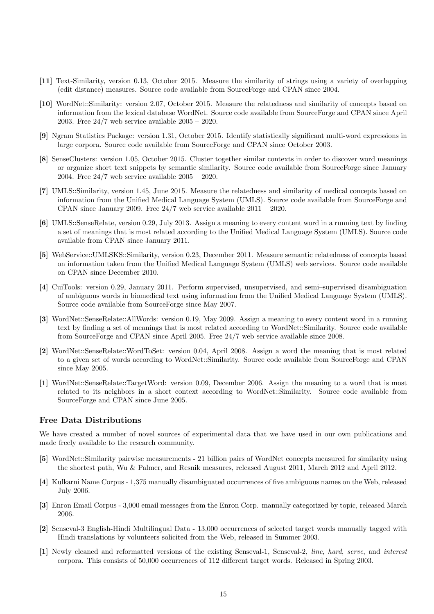- [11] Text-Similarity, version 0.13, October 2015. Measure the similarity of strings using a variety of overlapping (edit distance) measures. Source code available from SourceForge and CPAN since 2004.
- [10] WordNet::Similarity: version 2.07, October 2015. Measure the relatedness and similarity of concepts based on information from the lexical database WordNet. Source code available from SourceForge and CPAN since April 2003. Free 24/7 web service available 2005 – 2020.
- [9] Ngram Statistics Package: version 1.31, October 2015. Identify statistically significant multi-word expressions in large corpora. Source code available from SourceForge and CPAN since October 2003.
- [8] SenseClusters: version 1.05, October 2015. Cluster together similar contexts in order to discover word meanings or organize short text snippets by semantic similarity. Source code available from SourceForge since January 2004. Free 24/7 web service available 2005 – 2020.
- [7] UMLS::Similarity, version 1.45, June 2015. Measure the relatedness and similarity of medical concepts based on information from the Unified Medical Language System (UMLS). Source code available from SourceForge and CPAN since January 2009. Free  $24/7$  web service available  $2011 - 2020$ .
- [6] UMLS::SenseRelate, version 0.29, July 2013. Assign a meaning to every content word in a running text by finding a set of meanings that is most related according to the Unified Medical Language System (UMLS). Source code available from CPAN since January 2011.
- [5] WebService::UMLSKS::Similarity, version 0.23, December 2011. Measure semantic relatedness of concepts based on information taken from the Unified Medical Language System (UMLS) web services. Source code available on CPAN since December 2010.
- [4] CuiTools: version 0.29, January 2011. Perform supervised, unsupervised, and semi–supervised disambiguation of ambiguous words in biomedical text using information from the Unified Medical Language System (UMLS). Source code available from SourceForge since May 2007.
- [3] WordNet::SenseRelate::AllWords: version 0.19, May 2009. Assign a meaning to every content word in a running text by finding a set of meanings that is most related according to WordNet::Similarity. Source code available from SourceForge and CPAN since April 2005. Free 24/7 web service available since 2008.
- [2] WordNet::SenseRelate::WordToSet: version 0.04, April 2008. Assign a word the meaning that is most related to a given set of words according to WordNet::Similarity. Source code available from SourceForge and CPAN since May 2005.
- [1] WordNet::SenseRelate::TargetWord: version 0.09, December 2006. Assign the meaning to a word that is most related to its neighbors in a short context according to WordNet::Similarity. Source code available from SourceForge and CPAN since June 2005.

## Free Data Distributions

We have created a number of novel sources of experimental data that we have used in our own publications and made freely available to the research community.

- [5] WordNet::Similarity pairwise measurements 21 billion pairs of WordNet concepts measured for similarity using the shortest path, Wu & Palmer, and Resnik measures, released August 2011, March 2012 and April 2012.
- [4] Kulkarni Name Corpus 1,375 manually disambiguated occurrences of five ambiguous names on the Web, released July 2006.
- [3] Enron Email Corpus 3,000 email messages from the Enron Corp. manually categorized by topic, released March 2006.
- [2] Senseval-3 English-Hindi Multilingual Data 13,000 occurrences of selected target words manually tagged with Hindi translations by volunteers solicited from the Web, released in Summer 2003.
- [1] Newly cleaned and reformatted versions of the existing Senseval-1, Senseval-2, line, hard, serve, and interest corpora. This consists of 50,000 occurrences of 112 different target words. Released in Spring 2003.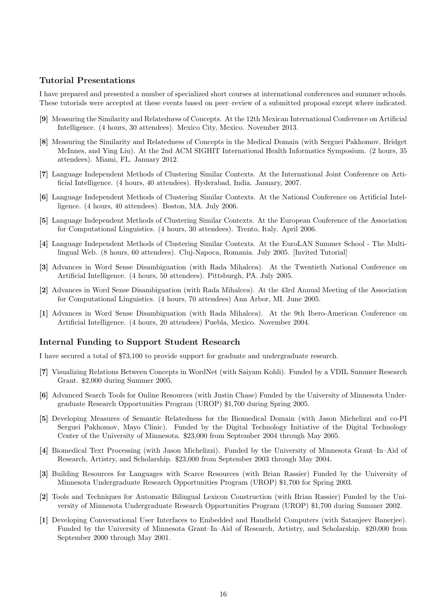## Tutorial Presentations

I have prepared and presented a number of specialized short courses at international conferences and summer schools. These tutorials were accepted at these events based on peer–review of a submitted proposal except where indicated.

- [9] Measuring the Similarity and Relatedness of Concepts. At the 12th Mexican International Conference on Artificial Intelligence. (4 hours, 30 attendees). Mexico City, Mexico. November 2013.
- [8] Measuring the Similarity and Relatedness of Concepts in the Medical Domain (with Serguei Pakhomov, Bridget McInnes, and Ying Liu). At the 2nd ACM SIGHIT International Health Informatics Symposium. (2 hours, 35 attendees). Miami, FL. January 2012.
- [7] Language Independent Methods of Clustering Similar Contexts. At the International Joint Conference on Artificial Intelligence. (4 hours, 40 attendees). Hyderabad, India. January, 2007.
- [6] Language Independent Methods of Clustering Similar Contexts. At the National Conference on Artificial Intelligence. (4 hours, 40 attendees). Boston, MA. July 2006.
- [5] Language Independent Methods of Clustering Similar Contexts. At the European Conference of the Association for Computational Linguistics. (4 hours, 30 attendees). Trento, Italy. April 2006.
- [4] Language Independent Methods of Clustering Similar Contexts. At the EuroLAN Summer School The Multilingual Web. (8 hours, 60 attendees). Cluj-Napoca, Romania. July 2005. [Invited Tutorial]
- [3] Advances in Word Sense Disambiguation (with Rada Mihalcea). At the Twentieth National Conference on Artificial Intelligence. (4 hours, 50 attendees). Pittsburgh, PA. July 2005.
- [2] Advances in Word Sense Disambiguation (with Rada Mihalcea). At the 43rd Annual Meeting of the Association for Computational Linguistics. (4 hours, 70 attendees) Ann Arbor, MI. June 2005.
- [1] Advances in Word Sense Disambiguation (with Rada Mihalcea). At the 9th Ibero-American Conference on Artificial Intelligence. (4 hours, 20 attendees) Puebla, Mexico. November 2004.

## Internal Funding to Support Student Research

I have secured a total of \$73,100 to provide support for graduate and undergraduate research.

- [7] Visualizing Relations Between Concepts in WordNet (with Saiyam Kohli). Funded by a VDIL Summer Research Grant. \$2,000 during Summer 2005.
- [6] Advanced Search Tools for Online Resources (with Justin Chase) Funded by the University of Minnesota Undergraduate Research Opportunities Program (UROP) \$1,700 during Spring 2005.
- [5] Developing Measures of Semantic Relatedness for the Biomedical Domain (with Jason Michelizzi and co-PI Serguei Pakhomov, Mayo Clinic). Funded by the Digital Technology Initiative of the Digital Technology Center of the University of Minnesota. \$23,000 from September 2004 through May 2005.
- [4] Biomedical Text Processing (with Jason Michelizzi). Funded by the University of Minnesota Grant–In–Aid of Research, Artistry, and Scholarship. \$23,000 from September 2003 through May 2004.
- [3] Building Resources for Languages with Scarce Resources (with Brian Rassier) Funded by the University of Minnesota Undergraduate Research Opportunities Program (UROP) \$1,700 for Spring 2003.
- [2] Tools and Techniques for Automatic Bilingual Lexicon Construction (with Brian Rassier) Funded by the University of Minnesota Undergraduate Research Opportunities Program (UROP) \$1,700 during Summer 2002.
- [1] Developing Conversational User Interfaces to Embedded and Handheld Computers (with Satanjeev Banerjee). Funded by the University of Minnesota Grant–In–Aid of Research, Artistry, and Scholarship. \$20,000 from September 2000 through May 2001.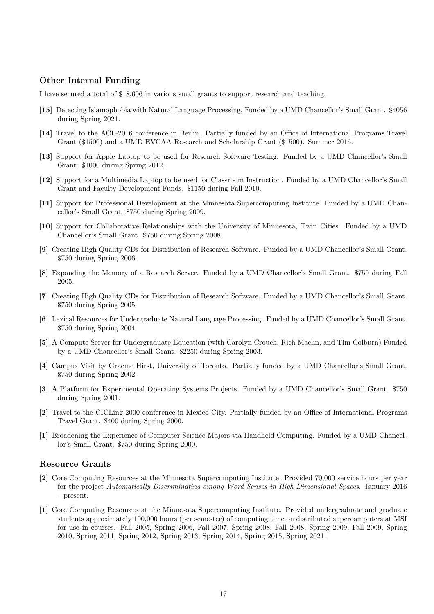## Other Internal Funding

I have secured a total of \$18,606 in various small grants to support research and teaching.

- [15] Detecting Islamophobia with Natural Language Processing, Funded by a UMD Chancellor's Small Grant. \$4056 during Spring 2021.
- [14] Travel to the ACL-2016 conference in Berlin. Partially funded by an Office of International Programs Travel Grant (\$1500) and a UMD EVCAA Research and Scholarship Grant (\$1500). Summer 2016.
- [13] Support for Apple Laptop to be used for Research Software Testing. Funded by a UMD Chancellor's Small Grant. \$1000 during Spring 2012.
- [12] Support for a Multimedia Laptop to be used for Classroom Instruction. Funded by a UMD Chancellor's Small Grant and Faculty Development Funds. \$1150 during Fall 2010.
- [11] Support for Professional Development at the Minnesota Supercomputing Institute. Funded by a UMD Chancellor's Small Grant. \$750 during Spring 2009.
- [10] Support for Collaborative Relationships with the University of Minnesota, Twin Cities. Funded by a UMD Chancellor's Small Grant. \$750 during Spring 2008.
- [9] Creating High Quality CDs for Distribution of Research Software. Funded by a UMD Chancellor's Small Grant. \$750 during Spring 2006.
- [8] Expanding the Memory of a Research Server. Funded by a UMD Chancellor's Small Grant. \$750 during Fall 2005.
- [7] Creating High Quality CDs for Distribution of Research Software. Funded by a UMD Chancellor's Small Grant. \$750 during Spring 2005.
- [6] Lexical Resources for Undergraduate Natural Language Processing. Funded by a UMD Chancellor's Small Grant. \$750 during Spring 2004.
- [5] A Compute Server for Undergraduate Education (with Carolyn Crouch, Rich Maclin, and Tim Colburn) Funded by a UMD Chancellor's Small Grant. \$2250 during Spring 2003.
- [4] Campus Visit by Graeme Hirst, University of Toronto. Partially funded by a UMD Chancellor's Small Grant. \$750 during Spring 2002.
- [3] A Platform for Experimental Operating Systems Projects. Funded by a UMD Chancellor's Small Grant. \$750 during Spring 2001.
- [2] Travel to the CICLing-2000 conference in Mexico City. Partially funded by an Office of International Programs Travel Grant. \$400 during Spring 2000.
- [1] Broadening the Experience of Computer Science Majors via Handheld Computing. Funded by a UMD Chancellor's Small Grant. \$750 during Spring 2000.

#### Resource Grants

- [2] Core Computing Resources at the Minnesota Supercomputing Institute. Provided 70,000 service hours per year for the project Automatically Discriminating among Word Senses in High Dimensional Spaces. January 2016 – present.
- [1] Core Computing Resources at the Minnesota Supercomputing Institute. Provided undergraduate and graduate students approximately 100,000 hours (per semester) of computing time on distributed supercomputers at MSI for use in courses. Fall 2005, Spring 2006, Fall 2007, Spring 2008, Fall 2008, Spring 2009, Fall 2009, Spring 2010, Spring 2011, Spring 2012, Spring 2013, Spring 2014, Spring 2015, Spring 2021.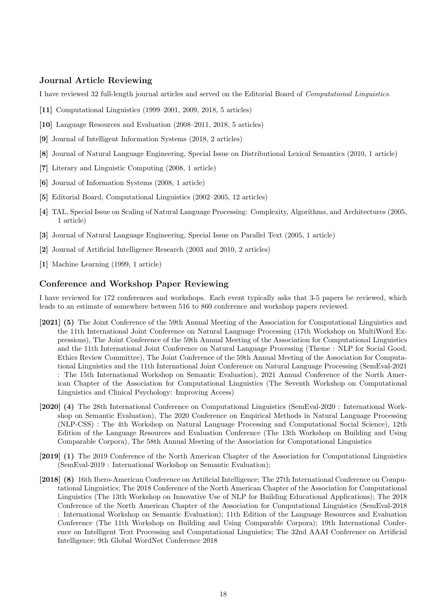## Journal Article Reviewing

I have reviewed 32 full-length journal articles and served on the Editorial Board of Computational Linguistics.

- [11] Computational Linguistics (1999–2001, 2009, 2018, 5 articles)
- [10] Language Resources and Evaluation (2008–2011, 2018, 5 articles)
- [9] Journal of Intelligent Information Systems (2018, 2 articles)
- [8] Journal of Natural Language Engineering, Special Issue on Distributional Lexical Semantics (2010, 1 article)
- [7] Literary and Linguistic Computing (2008, 1 article)
- [6] Journal of Information Systems (2008, 1 article)
- [5] Editorial Board, Computational Linguistics (2002–2005, 12 articles)
- [4] TAL, Special Issue on Scaling of Natural Language Processing: Complexity, Algorithms, and Architectures (2005, 1 article)
- [3] Journal of Natural Language Engineering, Special Issue on Parallel Text (2005, 1 article)
- [2] Journal of Artificial Intelligence Research (2003 and 2010, 2 articles)
- [1] Machine Learning (1999, 1 article)

## Conference and Workshop Paper Reviewing

I have reviewed for 172 conferences and workshops. Each event typically asks that 3-5 papers be reviewed, which leads to an estimate of somewhere between 516 to 860 conference and workshop papers reviewed.

- [2021] (5) The Joint Conference of the 59th Annual Meeting of the Association for Computational Linguistics and the 11th International Joint Conference on Natural Language Processing (17th Workshop on MultiWord Expressions), The Joint Conference of the 59th Annual Meeting of the Association for Computational Linguistics and the 11th International Joint Conference on Natural Language Processing (Theme : NLP for Social Good, Ethics Review Committee), The Joint Conference of the 59th Annual Meeting of the Association for Computational Linguistics and the 11th International Joint Conference on Natural Language Processing (SemEval-2021 : The 15th International Workshop on Semantic Evaluation), 2021 Annual Conference of the North American Chapter of the Association for Computational Linguistics (The Seventh Workshop on Computational Linguistics and Clinical Psychology: Improving Access)
- [2020] (4) The 28th International Conference on Computational Linguistics (SemEval-2020 : International Workshop on Semantic Evaluation), The 2020 Conference on Empirical Methods in Natural Language Processing (NLP-CSS) : The 4th Workshop on Natural Language Processing and Computational Social Science), 12th Edition of the Language Resources and Evaluation Conference (The 13th Workshop on Building and Using Comparable Corpora), The 58th Annual Meeting of the Association for Computational Linguistics
- [2019] (1) The 2019 Conference of the North American Chapter of the Association for Computational Linguistics (SemEval-2019 : International Workshop on Semantic Evaluation);
- [2018] (8) 16th Ibero-American Conference on Artificial Intelligence; The 27th International Conference on Computational Linguistics; The 2018 Conference of the North American Chapter of the Association for Computational Linguistics (The 13th Workshop on Innovative Use of NLP for Building Educational Applications); The 2018 Conference of the North American Chapter of the Association for Computational Linguistics (SemEval-2018 : International Workshop on Semantic Evaluation); 11th Edition of the Language Resources and Evaluation Conference (The 11th Workshop on Building and Using Comparable Corpora); 19th International Conference on Intelligent Text Processing and Computational Linguistics; The 32nd AAAI Conference on Artificial Intelligence; 9th Global WordNet Conference 2018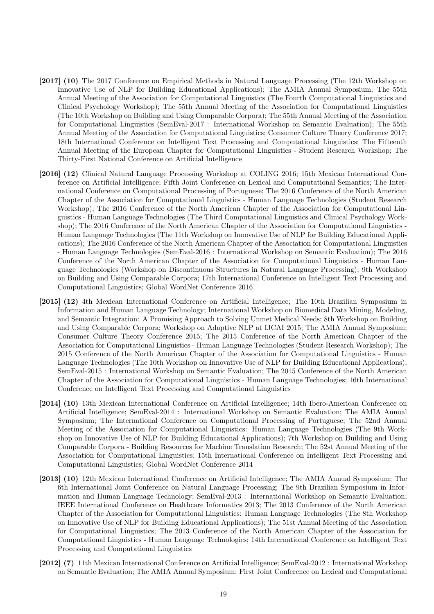- [2017] (10) The 2017 Conference on Empirical Methods in Natural Language Processing (The 12th Workshop on Innovative Use of NLP for Building Educational Applications); The AMIA Annual Symposium; The 55th Annual Meeting of the Association for Computational Linguistics (The Fourth Computational Linguistics and Clinical Psychology Workshop); The 55th Annual Meeting of the Association for Computational Linguistics (The 10th Workshop on Building and Using Comparable Corpora); The 55th Annual Meeting of the Association for Computational Linguistics (SemEval-2017 : International Workshop on Semantic Evaluation); The 55th Annual Meeting of the Association for Computational Linguistics; Consumer Culture Theory Conference 2017; 18th International Conference on Intelligent Text Processing and Computational Linguistics; The Fifteenth Annual Meeting of the European Chapter for Computational Linguistics - Student Research Workshop; The Thirty-First National Conference on Artificial Intelligence
- [2016] (12) Clinical Natural Language Processing Workshop at COLING 2016; 15th Mexican International Conference on Artificial Intelligence; Fifth Joint Conference on Lexical and Computational Semantics; The International Conference on Computational Processing of Portuguese; The 2016 Conference of the North American Chapter of the Association for Computational Linguistics - Human Language Technologies (Student Research Workshop); The 2016 Conference of the North American Chapter of the Association for Computational Linguistics - Human Language Technologies (The Third Computational Linguistics and Clinical Psychology Workshop); The 2016 Conference of the North American Chapter of the Association for Computational Linguistics - Human Language Technologies (The 11th Workshop on Innovative Use of NLP for Building Educational Applications); The 2016 Conference of the North American Chapter of the Association for Computational Linguistics - Human Language Technologies (SemEval-2016 : International Workshop on Semantic Evaluation); The 2016 Conference of the North American Chapter of the Association for Computational Linguistics - Human Language Technologies (Workshop on Discontinuous Structures in Natural Language Processing); 9th Workshop on Building and Using Comparable Corpora; 17th International Conference on Intelligent Text Processing and Computational Linguistics; Global WordNet Conference 2016
- [2015] (12) 4th Mexican International Conference on Artificial Intelligence; The 10th Brazilian Symposium in Information and Human Language Technology; International Workshop on Biomedical Data Mining, Modeling, and Semantic Integration: A Promising Approach to Solving Unmet Medical Needs; 8th Workshop on Building and Using Comparable Corpora; Workshop on Adaptive NLP at IJCAI 2015; The AMIA Annual Symposium; Consumer Culture Theory Conference 2015; The 2015 Conference of the North American Chapter of the Association for Computational Linguistics - Human Language Technologies (Student Research Workshop); The 2015 Conference of the North American Chapter of the Association for Computational Linguistics - Human Language Technologies (The 10th Workshop on Innovative Use of NLP for Building Educational Applications); SemEval-2015 : International Workshop on Semantic Evaluation; The 2015 Conference of the North American Chapter of the Association for Computational Linguistics - Human Language Technologies; 16th International Conference on Intelligent Text Processing and Computational Linguistics
- [2014] (10) 13th Mexican International Conference on Artificial Intelligence; 14th Ibero-American Conference on Artificial Intelligence; SemEval-2014 : International Workshop on Semantic Evaluation; The AMIA Annual Symposium; The International Conference on Computational Processing of Portuguese; The 52nd Annual Meeting of the Association for Computational Linguistics: Human Language Technologies (The 9th Workshop on Innovative Use of NLP for Building Educational Applications); 7th Workshop on Building and Using Comparable Corpora - Building Resources for Machine Translation Research; The 52st Annual Meeting of the Association for Computational Linguistics; 15th International Conference on Intelligent Text Processing and Computational Linguistics; Global WordNet Conference 2014
- [2013] (10) 12th Mexican International Conference on Artificial Intelligence; The AMIA Annual Symposium; The 6th International Joint Conference on Natural Language Processing; The 9th Brazilian Symposium in Information and Human Language Technology; SemEval-2013 : International Workshop on Semantic Evaluation; IEEE International Conference on Healthcare Informatics 2013; The 2013 Conference of the North American Chapter of the Association for Computational Linguistics: Human Language Technologies (The 8th Workshop on Innovative Use of NLP for Building Educational Applications); The 51st Annual Meeting of the Association for Computational Linguistics; The 2013 Conference of the North American Chapter of the Association for Computational Linguistics - Human Language Technologies; 14th International Conference on Intelligent Text Processing and Computational Linguistics
- [2012] (7) 11th Mexican International Conference on Artificial Intelligence; SemEval-2012 : International Workshop on Semantic Evaluation; The AMIA Annual Symposium; First Joint Conference on Lexical and Computational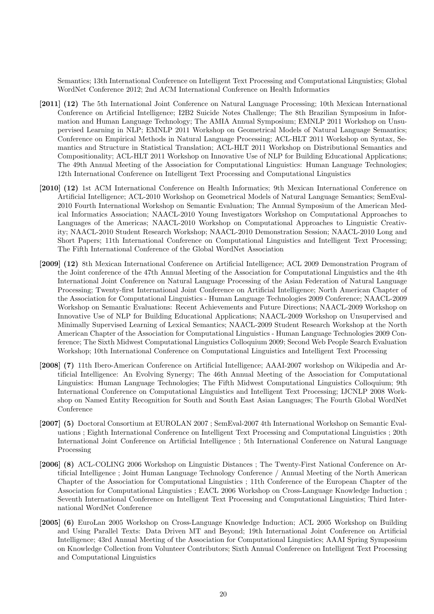Semantics; 13th International Conference on Intelligent Text Processing and Computational Linguistics; Global WordNet Conference 2012; 2nd ACM International Conference on Health Informatics

- [2011] (12) The 5th International Joint Conference on Natural Language Processing; 10th Mexican International Conference on Artificial Intelligence; I2B2 Suicide Notes Challenge; The 8th Brazilian Symposium in Information and Human Language Technology; The AMIA Annual Symposium; EMNLP 2011 Workshop on Unsupervised Learning in NLP; EMNLP 2011 Workshop on Geometrical Models of Natural Language Semantics; Conference on Empirical Methods in Natural Language Processing; ACL-HLT 2011 Workshop on Syntax, Semantics and Structure in Statistical Translation; ACL-HLT 2011 Workshop on Distributional Semantics and Compositionality; ACL-HLT 2011 Workshop on Innovative Use of NLP for Building Educational Applications; The 49th Annual Meeting of the Association for Computational Linguistics: Human Language Technologies; 12th International Conference on Intelligent Text Processing and Computational Linguistics
- [2010] (12) 1st ACM International Conference on Health Informatics; 9th Mexican International Conference on Artificial Intelligence; ACL-2010 Workshop on Geometrical Models of Natural Language Semantics; SemEval-2010 Fourth International Workshop on Semantic Evaluation; The Annual Symposium of the American Medical Informatics Association; NAACL-2010 Young Investigators Workshop on Computational Approaches to Languages of the Americas; NAACL-2010 Workshop on Computational Approaches to Linguistic Creativity; NAACL-2010 Student Research Workshop; NAACL-2010 Demonstration Session; NAACL-2010 Long and Short Papers; 11th International Conference on Computational Linguistics and Intelligent Text Processing; The Fifth International Conference of the Global WordNet Association
- [2009] (12) 8th Mexican International Conference on Artificial Intelligence; ACL 2009 Demonstration Program of the Joint conference of the 47th Annual Meeting of the Association for Computational Linguistics and the 4th International Joint Conference on Natural Language Processing of the Asian Federation of Natural Language Processing; Twenty-first International Joint Conference on Artificial Intelligence; North American Chapter of the Association for Computational Linguistics - Human Language Technologies 2009 Conference; NAACL-2009 Workshop on Semantic Evaluations: Recent Achievements and Future Directions; NAACL-2009 Workshop on Innovative Use of NLP for Building Educational Applications; NAACL-2009 Workshop on Unsupervised and Minimally Supervised Learning of Lexical Semantics; NAACL-2009 Student Research Workshop at the North American Chapter of the Association for Computational Linguistics - Human Language Technologies 2009 Conference; The Sixth Midwest Computational Linguistics Colloquium 2009; Second Web People Search Evaluation Workshop; 10th International Conference on Computational Linguistics and Intelligent Text Processing
- [2008] (7) 11th Ibero-American Conference on Artificial Intelligence; AAAI-2007 workshop on Wikipedia and Artificial Intelligence: An Evolving Synergy; The 46th Annual Meeting of the Association for Computational Linguistics: Human Language Technologies; The Fifth Midwest Computational Linguistics Colloquium; 9th International Conference on Computational Linguistics and Intelligent Text Processing; IJCNLP 2008 Workshop on Named Entity Recognition for South and South East Asian Languages; The Fourth Global WordNet Conference
- [2007] (5) Doctoral Consortium at EUROLAN 2007 ; SemEval-2007 4th International Workshop on Semantic Evaluations ; Eighth International Conference on Intelligent Text Processing and Computational Linguistics ; 20th International Joint Conference on Artificial Intelligence ; 5th International Conference on Natural Language Processing
- [2006] (8) ACL-COLING 2006 Workshop on Linguistic Distances ; The Twenty-First National Conference on Artificial Intelligence ; Joint Human Language Technology Conference / Annual Meeting of the North American Chapter of the Association for Computational Linguistics ; 11th Conference of the European Chapter of the Association for Computational Linguistics ; EACL 2006 Workshop on Cross-Language Knowledge Induction ; Seventh International Conference on Intelligent Text Processing and Computational Linguistics; Third International WordNet Conference
- [2005] (6) EuroLan 2005 Workshop on Cross-Language Knowledge Induction; ACL 2005 Workshop on Building and Using Parallel Texts: Data Driven MT and Beyond; 19th International Joint Conference on Artificial Intelligence; 43rd Annual Meeting of the Association for Computational Linguistics; AAAI Spring Symposium on Knowledge Collection from Volunteer Contributors; Sixth Annual Conference on Intelligent Text Processing and Computational Linguistics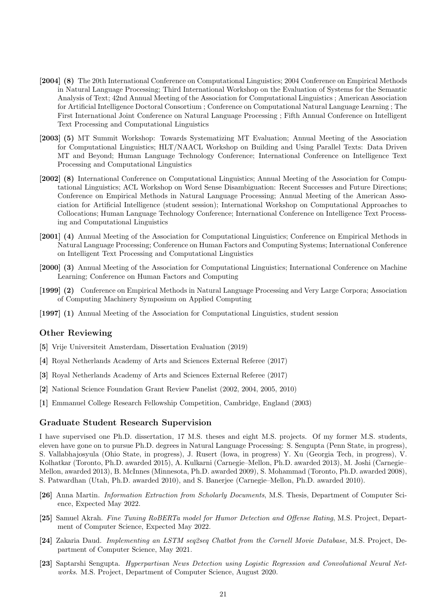- [2004] (8) The 20th International Conference on Computational Linguistics; 2004 Conference on Empirical Methods in Natural Language Processing; Third International Workshop on the Evaluation of Systems for the Semantic Analysis of Text; 42nd Annual Meeting of the Association for Computational Linguistics ; American Association for Artificial Intelligence Doctoral Consortium ; Conference on Computational Natural Language Learning ; The First International Joint Conference on Natural Language Processing ; Fifth Annual Conference on Intelligent Text Processing and Computational Linguistics
- [2003] (5) MT Summit Workshop: Towards Systematizing MT Evaluation; Annual Meeting of the Association for Computational Linguistics; HLT/NAACL Workshop on Building and Using Parallel Texts: Data Driven MT and Beyond; Human Language Technology Conference; International Conference on Intelligence Text Processing and Computational Linguistics
- [2002] (8) International Conference on Computational Linguistics; Annual Meeting of the Association for Computational Linguistics; ACL Workshop on Word Sense Disambiguation: Recent Successes and Future Directions; Conference on Empirical Methods in Natural Language Processing; Annual Meeting of the American Association for Artificial Intelligence (student session); International Workshop on Computational Approaches to Collocations; Human Language Technology Conference; International Conference on Intelligence Text Processing and Computational Linguistics
- [2001] (4) Annual Meeting of the Association for Computational Linguistics; Conference on Empirical Methods in Natural Language Processing; Conference on Human Factors and Computing Systems; International Conference on Intelligent Text Processing and Computational Linguistics
- [2000] (3) Annual Meeting of the Association for Computational Linguistics; International Conference on Machine Learning; Conference on Human Factors and Computing
- [1999] (2) Conference on Empirical Methods in Natural Language Processing and Very Large Corpora; Association of Computing Machinery Symposium on Applied Computing
- [1997] (1) Annual Meeting of the Association for Computational Linguistics, student session

## Other Reviewing

- [5] Vrije Universiteit Amsterdam, Dissertation Evaluation (2019)
- [4] Royal Netherlands Academy of Arts and Sciences External Referee (2017)
- [3] Royal Netherlands Academy of Arts and Sciences External Referee (2017)
- [2] National Science Foundation Grant Review Panelist (2002, 2004, 2005, 2010)
- [1] Emmanuel College Research Fellowship Competition, Cambridge, England (2003)

#### Graduate Student Research Supervision

I have supervised one Ph.D. dissertation, 17 M.S. theses and eight M.S. projects. Of my former M.S. students, eleven have gone on to pursue Ph.D. degrees in Natural Language Processing: S. Sengupta (Penn State, in progress), S. Vallabhajosyula (Ohio State, in progress), J. Rusert (Iowa, in progress) Y. Xu (Georgia Tech, in progress), V. Kolhatkar (Toronto, Ph.D. awarded 2015), A. Kulkarni (Carnegie–Mellon, Ph.D. awarded 2013), M. Joshi (Carnegie– Mellon, awarded 2013), B. McInnes (Minnesota, Ph.D. awarded 2009), S. Mohammad (Toronto, Ph.D. awarded 2008), S. Patwardhan (Utah, Ph.D. awarded 2010), and S. Banerjee (Carnegie–Mellon, Ph.D. awarded 2010).

- [26] Anna Martin. Information Extraction from Scholarly Documents, M.S. Thesis, Department of Computer Science, Expected May 2022.
- [25] Samuel Akrah. Fine Tuning RoBERTa model for Humor Detection and Offense Rating, M.S. Project, Department of Computer Science, Expected May 2022.
- [24] Zakaria Daud. Implementing an LSTM seq2seq Chatbot from the Cornell Movie Database, M.S. Project, Department of Computer Science, May 2021.
- [23] Saptarshi Sengupta. Hyperpartisan News Detection using Logistic Regression and Convolutional Neural Networks. M.S. Project, Department of Computer Science, August 2020.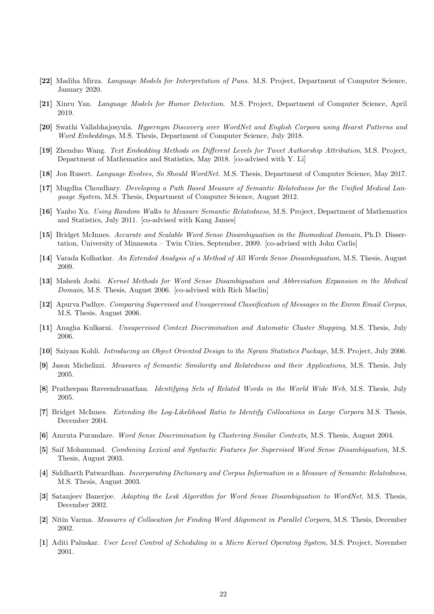- [22] Madiha Mirza. Language Models for Interpretation of Puns. M.S. Project, Department of Computer Science, January 2020.
- [21] Xinru Yan. Language Models for Humor Detection. M.S. Project, Department of Computer Science, April 2019.
- [20] Swathi Vallabhajosyula. Hypernym Discovery over WordNet and English Corpora using Hearst Patterns and Word Embeddings, M.S. Thesis, Department of Computer Science, July 2018.
- [19] Zhenduo Wang. Text Embedding Methods on Different Levels for Tweet Authorship Attribution, M.S. Project, Department of Mathematics and Statistics, May 2018. [co-advised with Y. Li]
- [18] Jon Rusert. Language Evolves, So Should WordNet. M.S. Thesis, Department of Computer Science, May 2017.
- [17] Mugdha Choudhary. Developing a Path Based Measure of Semantic Relatedness for the Unified Medical Language System, M.S. Thesis, Department of Computer Science, August 2012.
- [16] Yanbo Xu. Using Random Walks to Measure Semantic Relatedness, M.S. Project, Department of Mathematics and Statistics, July 2011. [co-advised with Kang James]
- [15] Bridget McInnes. Accurate and Scalable Word Sense Disambiguation in the Biomedical Domain, Ph.D. Dissertation, University of Minnesota – Twin Cities, September, 2009. [co-advised with John Carlis]
- [14] Varada Kolhatkar. An Extended Analysis of a Method of All Words Sense Disambiguation, M.S. Thesis, August 2009.
- [13] Mahesh Joshi. Kernel Methods for Word Sense Disambiguation and Abbreviation Expansion in the Medical Domain, M.S. Thesis, August 2006. [co-advised with Rich Maclin]
- [12] Apurva Padhye. Comparing Supervised and Unsupervised Classification of Messages in the Enron Email Corpus, M.S. Thesis, August 2006.
- [11] Anagha Kulkarni. Unsupervised Context Discrimination and Automatic Cluster Stopping, M.S. Thesis, July 2006.
- [10] Saiyam Kohli. Introducing an Object Oriented Design to the Ngram Statistics Package, M.S. Project, July 2006.
- [9] Jason Michelizzi. Measures of Semantic Similarity and Relatedness and their Applications, M.S. Thesis, July 2005.
- [8] Pratheepan Raveendranathan. Identifying Sets of Related Words in the World Wide Web, M.S. Thesis, July 2005.
- [7] Bridget McInnes. Extending the Log-Likelihood Ratio to Identify Collocations in Large Corpora M.S. Thesis, December 2004.
- [6] Amruta Purandare. Word Sense Discrimination by Clustering Similar Contexts, M.S. Thesis, August 2004.
- [5] Saif Mohammad. Combining Lexical and Syntactic Features for Supervised Word Sense Disambiguation, M.S. Thesis, August 2003.
- [4] Siddharth Patwardhan. Incorporating Dictionary and Corpus Information in a Measure of Semantic Relatedness, M.S. Thesis, August 2003.
- [3] Satanjeev Banerjee. Adapting the Lesk Algorithm for Word Sense Disambiguation to WordNet, M.S. Thesis, December 2002.
- [2] Nitin Varma. Measures of Collocation for Finding Word Alignment in Parallel Corpora, M.S. Thesis, December 2002.
- [1] Aditi Paluskar. User Level Control of Scheduling in a Micro Kernel Operating System, M.S. Project, November 2001.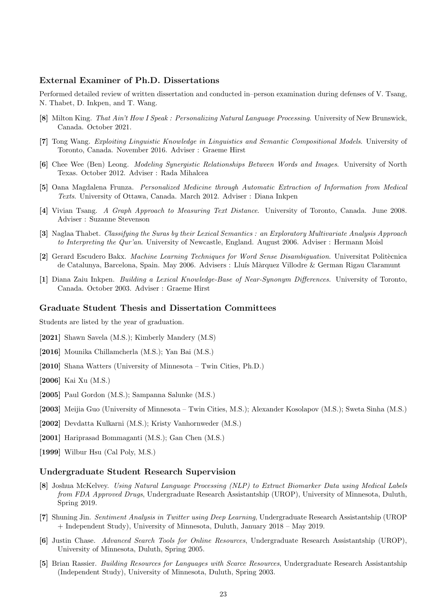## External Examiner of Ph.D. Dissertations

Performed detailed review of written dissertation and conducted in–person examination during defenses of V. Tsang, N. Thabet, D. Inkpen, and T. Wang.

- [8] Milton King. That Ain't How I Speak : Personalizing Natural Language Processing. University of New Brunswick, Canada. October 2021.
- [7] Tong Wang. Exploiting Linguistic Knowledge in Linguistics and Semantic Compositional Models. University of Toronto, Canada. November 2016. Adviser : Graeme Hirst
- [6] Chee Wee (Ben) Leong. Modeling Synergistic Relationships Between Words and Images. University of North Texas. October 2012. Adviser : Rada Mihalcea
- [5] Oana Magdalena Frunza. Personalized Medicine through Automatic Extraction of Information from Medical Texts. University of Ottawa, Canada. March 2012. Adviser : Diana Inkpen
- [4] Vivian Tsang. A Graph Approach to Measuring Text Distance. University of Toronto, Canada. June 2008. Adviser : Suzanne Stevenson
- [3] Naglaa Thabet. Classifying the Suras by their Lexical Semantics : an Exploratory Multivariate Analysis Approach to Interpreting the Qur'an. University of Newcastle, England. August 2006. Adviser : Hermann Moisl
- [2] Gerard Escudero Bakx. Machine Learning Techniques for Word Sense Disambiguation. Universitat Politècnica de Catalunya, Barcelona, Spain. May 2006. Advisers : Lluís Màrquez Villodre & German Rigau Claramunt
- [1] Diana Zaiu Inkpen. Building a Lexical Knowledge-Base of Near-Synonym Differences. University of Toronto, Canada. October 2003. Adviser : Graeme Hirst

#### Graduate Student Thesis and Dissertation Committees

Students are listed by the year of graduation.

- [2021] Shawn Savela (M.S.); Kimberly Mandery (M.S)
- [2016] Mounika Chillamcherla (M.S.); Yan Bai (M.S.)
- [2010] Shana Watters (University of Minnesota Twin Cities, Ph.D.)
- [2006] Kai Xu (M.S.)
- [2005] Paul Gordon (M.S.); Sampanna Salunke (M.S.)
- [2003] Meijia Guo (University of Minnesota Twin Cities, M.S.); Alexander Kosolapov (M.S.); Sweta Sinha (M.S.)
- [2002] Devdatta Kulkarni (M.S.); Kristy Vanhornweder (M.S.)
- [2001] Hariprasad Bommaganti (M.S.); Gan Chen (M.S.)
- [1999] Wilbur Hsu (Cal Poly, M.S.)

# Undergraduate Student Research Supervision

- [8] Joshua McKelvey. Using Natural Language Processing (NLP) to Extract Biomarker Data using Medical Labels from FDA Approved Drugs, Undergraduate Research Assistantship (UROP), University of Minnesota, Duluth, Spring 2019.
- [7] Shuning Jin. Sentiment Analysis in Twitter using Deep Learning, Undergraduate Research Assistantship (UROP + Independent Study), University of Minnesota, Duluth, January 2018 – May 2019.
- [6] Justin Chase. Advanced Search Tools for Online Resources, Undergraduate Research Assistantship (UROP), University of Minnesota, Duluth, Spring 2005.
- [5] Brian Rassier. Building Resources for Languages with Scarce Resources, Undergraduate Research Assistantship (Independent Study), University of Minnesota, Duluth, Spring 2003.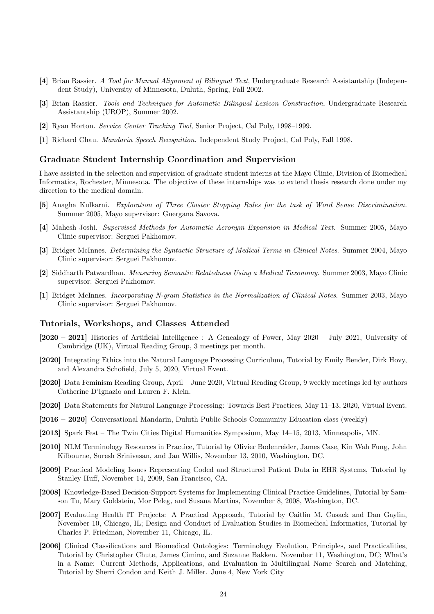- [4] Brian Rassier. A Tool for Manual Alignment of Bilingual Text, Undergraduate Research Assistantship (Independent Study), University of Minnesota, Duluth, Spring, Fall 2002.
- [3] Brian Rassier. Tools and Techniques for Automatic Bilingual Lexicon Construction, Undergraduate Research Assistantship (UROP), Summer 2002.
- [2] Ryan Horton. Service Center Tracking Tool, Senior Project, Cal Poly, 1998–1999.
- [1] Richard Chau. Mandarin Speech Recognition. Independent Study Project, Cal Poly, Fall 1998.

#### Graduate Student Internship Coordination and Supervision

I have assisted in the selection and supervision of graduate student interns at the Mayo Clinic, Division of Biomedical Informatics, Rochester, Minnesota. The objective of these internships was to extend thesis research done under my direction to the medical domain.

- [5] Anagha Kulkarni. Exploration of Three Cluster Stopping Rules for the task of Word Sense Discrimination. Summer 2005, Mayo supervisor: Guergana Savova.
- [4] Mahesh Joshi. Supervised Methods for Automatic Acronym Expansion in Medical Text. Summer 2005, Mayo Clinic supervisor: Serguei Pakhomov.
- [3] Bridget McInnes. Determining the Syntactic Structure of Medical Terms in Clinical Notes. Summer 2004, Mayo Clinic supervisor: Serguei Pakhomov.
- [2] Siddharth Patwardhan. Measuring Semantic Relatedness Using a Medical Taxonomy. Summer 2003, Mayo Clinic supervisor: Serguei Pakhomov.
- [1] Bridget McInnes. Incorporating N-gram Statistics in the Normalization of Clinical Notes. Summer 2003, Mayo Clinic supervisor: Serguei Pakhomov.

#### Tutorials, Workshops, and Classes Attended

- [2020 2021] Histories of Artificial Intelligence : A Genealogy of Power, May 2020 July 2021, University of Cambridge (UK), Virtual Reading Group, 3 meetings per month.
- [2020] Integrating Ethics into the Natural Language Processing Curriculum, Tutorial by Emily Bender, Dirk Hovy, and Alexandra Schofield, July 5, 2020, Virtual Event.
- [2020] Data Feminism Reading Group, April June 2020, Virtual Reading Group, 9 weekly meetings led by authors Catherine D'Ignazio and Lauren F. Klein.
- [2020] Data Statements for Natural Language Processing: Towards Best Practices, May 11–13, 2020, Virtual Event.
- [2016 2020] Conversational Mandarin, Duluth Public Schools Community Education class (weekly)
- [2013] Spark Fest The Twin Cities Digital Humanities Symposium, May 14–15, 2013, Minneapolis, MN.
- [2010] NLM Terminology Resources in Practice, Tutorial by Olivier Bodenreider, James Case, Kin Wah Fung, John Kilbourne, Suresh Srinivasan, and Jan Willis, November 13, 2010, Washington, DC.
- [2009] Practical Modeling Issues Representing Coded and Structured Patient Data in EHR Systems, Tutorial by Stanley Huff, November 14, 2009, San Francisco, CA.
- [2008] Knowledge-Based Decision-Support Systems for Implementing Clinical Practice Guidelines, Tutorial by Samson Tu, Mary Goldstein, Mor Peleg, and Susana Martins, November 8, 2008, Washington, DC.
- [2007] Evaluating Health IT Projects: A Practical Approach, Tutorial by Caitlin M. Cusack and Dan Gaylin, November 10, Chicago, IL; Design and Conduct of Evaluation Studies in Biomedical Informatics, Tutorial by Charles P. Friedman, November 11, Chicago, IL.
- [2006] Clinical Classifications and Biomedical Ontologies: Terminology Evolution, Principles, and Practicalities, Tutorial by Christopher Chute, James Cimino, and Suzanne Bakken. November 11, Washington, DC; What's in a Name: Current Methods, Applications, and Evaluation in Multilingual Name Search and Matching, Tutorial by Sherri Condon and Keith J. Miller. June 4, New York City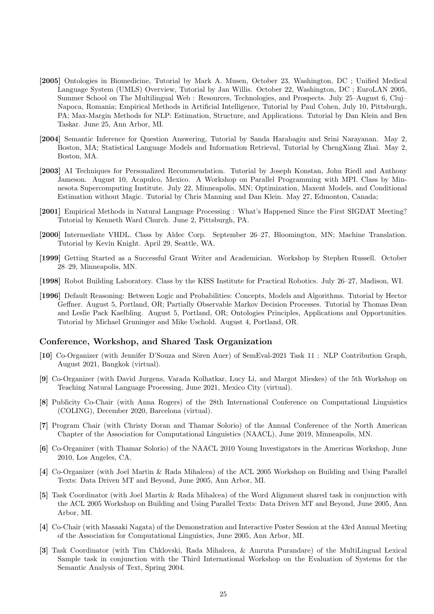- [2005] Ontologies in Biomedicine, Tutorial by Mark A. Musen, October 23, Washington, DC ; Unified Medical Language System (UMLS) Overview, Tutorial by Jan Willis. October 22, Washington, DC ; EuroLAN 2005, Summer School on The Multilingual Web : Resources, Technologies, and Prospects. July 25–August 6, Cluj– Napoca, Romania; Empirical Methods in Artificial Intelligence, Tutorial by Paul Cohen, July 10, Pittsburgh, PA; Max-Margin Methods for NLP: Estimation, Structure, and Applications. Tutorial by Dan Klein and Ben Taskar. June 25, Ann Arbor, MI.
- [2004] Semantic Inference for Question Answering, Tutorial by Sanda Harabagiu and Srini Narayanan. May 2, Boston, MA; Statistical Language Models and Information Retrieval, Tutorial by ChengXiang Zhai. May 2, Boston, MA.
- [2003] AI Techniques for Personalized Recommendation. Tutorial by Joseph Konstan, John Riedl and Anthony Jameson. August 10, Acapulco, Mexico. A Workshop on Parallel Programming with MPI. Class by Minnesota Supercomputing Institute. July 22, Minneapolis, MN; Optimization, Maxent Models, and Conditional Estimation without Magic. Tutorial by Chris Manning and Dan Klein. May 27, Edmonton, Canada;
- [2001] Empirical Methods in Natural Language Processing : What's Happened Since the First SIGDAT Meeting? Tutorial by Kenneth Ward Church. June 2, Pittsburgh, PA.
- [2000] Intermediate VHDL. Class by Aldec Corp. September 26–27, Bloomington, MN; Machine Translation. Tutorial by Kevin Knight. April 29, Seattle, WA.
- [1999] Getting Started as a Successful Grant Writer and Academician. Workshop by Stephen Russell. October 28–29, Minneapolis, MN.
- [1998] Robot Building Laboratory. Class by the KISS Institute for Practical Robotics. July 26–27, Madison, WI.
- [1996] Default Reasoning: Between Logic and Probabilities: Concepts, Models and Algorithms. Tutorial by Hector Geffner. August 5, Portland, OR; Partially Observable Markov Decision Processes. Tutorial by Thomas Dean and Leslie Pack Kaelbling. August 5, Portland, OR; Ontologies Principles, Applications and Opportunities. Tutorial by Michael Gruninger and Mike Uschold. August 4, Portland, OR.

## Conference, Workshop, and Shared Task Organization

- [10] Co-Organizer (with Jennifer D'Souza and Sören Auer) of SemEval-2021 Task 11: NLP Contribution Graph, August 2021, Bangkok (virtual).
- [9] Co-Organizer (with David Jurgens, Varada Kolhatkar, Lucy Li, and Margot Mieskes) of the 5th Workshop on Teaching Natural Language Processing, June 2021, Mexico City (virtual).
- [8] Publicity Co-Chair (with Anna Rogers) of the 28th International Conference on Computational Linguistics (COLING), December 2020, Barcelona (virtual).
- [7] Program Chair (with Christy Doran and Thamar Solorio) of the Annual Conference of the North American Chapter of the Association for Computational Linguistics (NAACL), June 2019, Minneapolis, MN.
- [6] Co-Organizer (with Thamar Solorio) of the NAACL 2010 Young Investigators in the Americas Workshop, June 2010, Los Angeles, CA.
- [4] Co-Organizer (with Joel Martin & Rada Mihalcea) of the ACL 2005 Workshop on Building and Using Parallel Texts: Data Driven MT and Beyond, June 2005, Ann Arbor, MI.
- [5] Task Coordinator (with Joel Martin & Rada Mihalcea) of the Word Alignment shared task in conjunction with the ACL 2005 Workshop on Building and Using Parallel Texts: Data Driven MT and Beyond, June 2005, Ann Arbor, MI.
- [4] Co-Chair (with Masaaki Nagata) of the Demonstration and Interactive Poster Session at the 43rd Annual Meeting of the Association for Computational Linguistics, June 2005, Ann Arbor, MI.
- [3] Task Coordinator (with Tim Chklovski, Rada Mihalcea, & Amruta Purandare) of the MultiLingual Lexical Sample task in conjunction with the Third International Workshop on the Evaluation of Systems for the Semantic Analysis of Text, Spring 2004.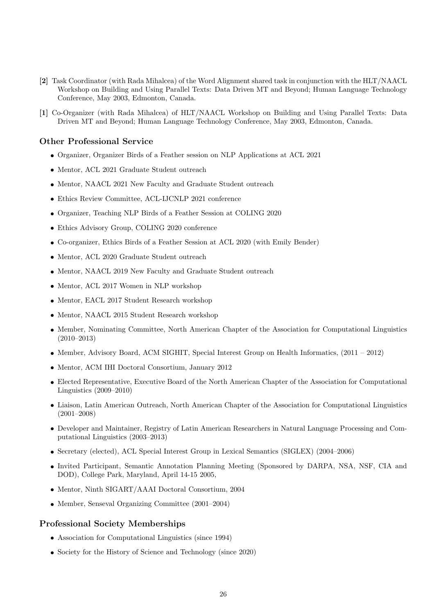- [2] Task Coordinator (with Rada Mihalcea) of the Word Alignment shared task in conjunction with the HLT/NAACL Workshop on Building and Using Parallel Texts: Data Driven MT and Beyond; Human Language Technology Conference, May 2003, Edmonton, Canada.
- [1] Co-Organizer (with Rada Mihalcea) of HLT/NAACL Workshop on Building and Using Parallel Texts: Data Driven MT and Beyond; Human Language Technology Conference, May 2003, Edmonton, Canada.

# Other Professional Service

- Organizer, Organizer Birds of a Feather session on NLP Applications at ACL 2021
- Mentor, ACL 2021 Graduate Student outreach
- Mentor, NAACL 2021 New Faculty and Graduate Student outreach
- Ethics Review Committee, ACL-IJCNLP 2021 conference
- Organizer, Teaching NLP Birds of a Feather Session at COLING 2020
- Ethics Advisory Group, COLING 2020 conference
- Co-organizer, Ethics Birds of a Feather Session at ACL 2020 (with Emily Bender)
- Mentor, ACL 2020 Graduate Student outreach
- Mentor, NAACL 2019 New Faculty and Graduate Student outreach
- Mentor, ACL 2017 Women in NLP workshop
- Mentor, EACL 2017 Student Research workshop
- Mentor, NAACL 2015 Student Research workshop
- Member, Nominating Committee, North American Chapter of the Association for Computational Linguistics (2010–2013)
- Member, Advisory Board, ACM SIGHIT, Special Interest Group on Health Informatics,  $(2011 2012)$
- Mentor, ACM IHI Doctoral Consortium, January 2012
- Elected Representative, Executive Board of the North American Chapter of the Association for Computational Linguistics (2009–2010)
- Liaison, Latin American Outreach, North American Chapter of the Association for Computational Linguistics (2001–2008)
- Developer and Maintainer, Registry of Latin American Researchers in Natural Language Processing and Computational Linguistics (2003–2013)
- Secretary (elected), ACL Special Interest Group in Lexical Semantics (SIGLEX) (2004–2006)
- Invited Participant, Semantic Annotation Planning Meeting (Sponsored by DARPA, NSA, NSF, CIA and DOD), College Park, Maryland, April 14-15 2005,
- Mentor, Ninth SIGART/AAAI Doctoral Consortium, 2004
- Member, Senseval Organizing Committee (2001–2004)

## Professional Society Memberships

- Association for Computational Linguistics (since 1994)
- Society for the History of Science and Technology (since 2020)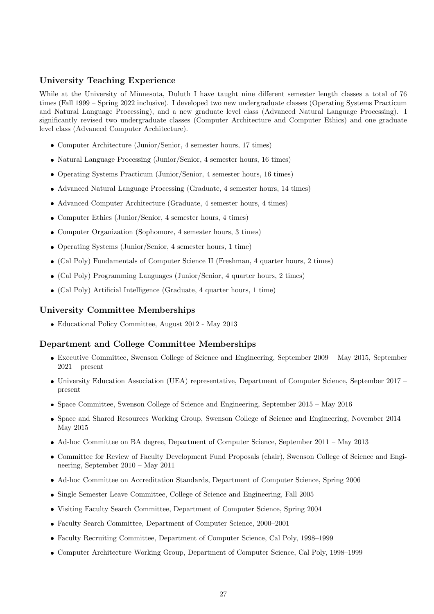# University Teaching Experience

While at the University of Minnesota, Duluth I have taught nine different semester length classes a total of 76 times (Fall 1999 – Spring 2022 inclusive). I developed two new undergraduate classes (Operating Systems Practicum and Natural Language Processing), and a new graduate level class (Advanced Natural Language Processing). I significantly revised two undergraduate classes (Computer Architecture and Computer Ethics) and one graduate level class (Advanced Computer Architecture).

- Computer Architecture (Junior/Senior, 4 semester hours, 17 times)
- Natural Language Processing (Junior/Senior, 4 semester hours, 16 times)
- Operating Systems Practicum (Junior/Senior, 4 semester hours, 16 times)
- Advanced Natural Language Processing (Graduate, 4 semester hours, 14 times)
- Advanced Computer Architecture (Graduate, 4 semester hours, 4 times)
- Computer Ethics (Junior/Senior, 4 semester hours, 4 times)
- Computer Organization (Sophomore, 4 semester hours, 3 times)
- Operating Systems (Junior/Senior, 4 semester hours, 1 time)
- (Cal Poly) Fundamentals of Computer Science II (Freshman, 4 quarter hours, 2 times)
- (Cal Poly) Programming Languages (Junior/Senior, 4 quarter hours, 2 times)
- (Cal Poly) Artificial Intelligence (Graduate, 4 quarter hours, 1 time)

## University Committee Memberships

Educational Policy Committee, August 2012 - May 2013

## Department and College Committee Memberships

- Executive Committee, Swenson College of Science and Engineering, September 2009 May 2015, September  $2021$  – present
- University Education Association (UEA) representative, Department of Computer Science, September 2017 present
- Space Committee, Swenson College of Science and Engineering, September 2015 May 2016
- Space and Shared Resources Working Group, Swenson College of Science and Engineering, November 2014 May 2015
- Ad-hoc Committee on BA degree, Department of Computer Science, September 2011 May 2013
- Committee for Review of Faculty Development Fund Proposals (chair), Swenson College of Science and Engineering, September 2010 – May 2011
- Ad-hoc Committee on Accreditation Standards, Department of Computer Science, Spring 2006
- Single Semester Leave Committee, College of Science and Engineering, Fall 2005
- Visiting Faculty Search Committee, Department of Computer Science, Spring 2004
- Faculty Search Committee, Department of Computer Science, 2000–2001
- Faculty Recruiting Committee, Department of Computer Science, Cal Poly, 1998–1999
- Computer Architecture Working Group, Department of Computer Science, Cal Poly, 1998–1999